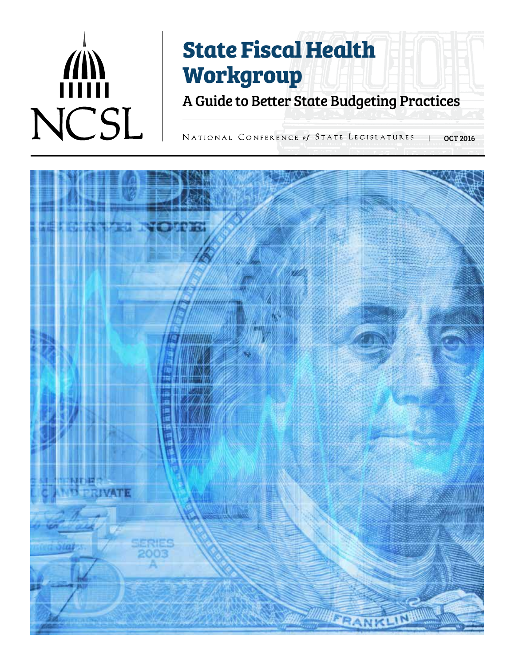## NCSL

## **State Fiscal Health Workgroup**

A Guide to Better State Budgeting Practices

NATIONAL CONFERENCE of STATE LEGISLATURES | OCT 2016

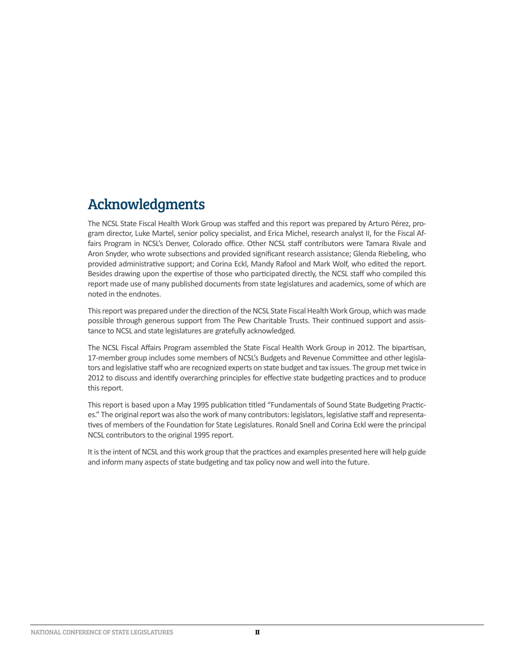## Acknowledgments

The NCSL State Fiscal Health Work Group was staffed and this report was prepared by Arturo Pérez, program director, Luke Martel, senior policy specialist, and Erica Michel, research analyst II, for the Fiscal Affairs Program in NCSL's Denver, Colorado office. Other NCSL staff contributors were Tamara Rivale and Aron Snyder, who wrote subsections and provided significant research assistance; Glenda Riebeling, who provided administrative support; and Corina Eckl, Mandy Rafool and Mark Wolf, who edited the report. Besides drawing upon the expertise of those who participated directly, the NCSL staff who compiled this report made use of many published documents from state legislatures and academics, some of which are noted in the endnotes.

This report was prepared under the direction of the NCSL State Fiscal Health Work Group, which was made possible through generous support from The Pew Charitable Trusts. Their continued support and assistance to NCSL and state legislatures are gratefully acknowledged.

The NCSL Fiscal Affairs Program assembled the State Fiscal Health Work Group in 2012. The bipartisan, 17-member group includes some members of NCSL's Budgets and Revenue Committee and other legislators and legislative staff who are recognized experts on state budget and tax issues. The group met twice in 2012 to discuss and identify overarching principles for effective state budgeting practices and to produce this report.

This report is based upon a May 1995 publication titled "Fundamentals of Sound State Budgeting Practices." The original report was also the work of many contributors: legislators, legislative staff and representatives of members of the Foundation for State Legislatures. Ronald Snell and Corina Eckl were the principal NCSL contributors to the original 1995 report.

It is the intent of NCSL and this work group that the practices and examples presented here will help guide and inform many aspects of state budgeting and tax policy now and well into the future.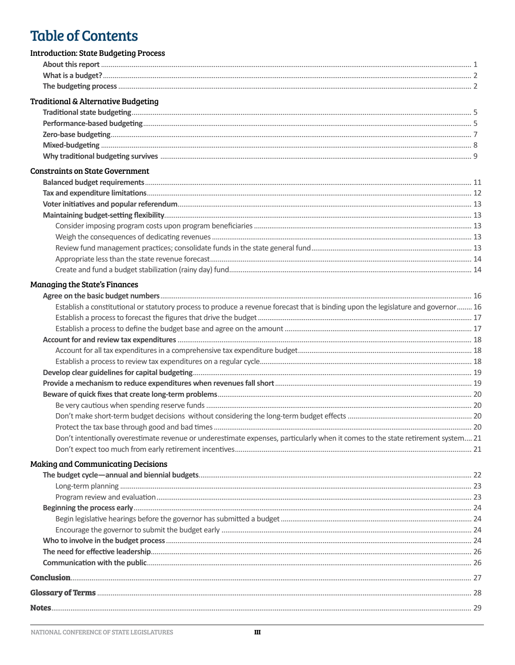## **Table of Contents**

| <b>Introduction: State Budgeting Process</b>                                                                                       |  |
|------------------------------------------------------------------------------------------------------------------------------------|--|
|                                                                                                                                    |  |
|                                                                                                                                    |  |
|                                                                                                                                    |  |
| <b>Traditional &amp; Alternative Budgeting</b>                                                                                     |  |
|                                                                                                                                    |  |
|                                                                                                                                    |  |
|                                                                                                                                    |  |
|                                                                                                                                    |  |
|                                                                                                                                    |  |
| <b>Constraints on State Government</b>                                                                                             |  |
|                                                                                                                                    |  |
|                                                                                                                                    |  |
|                                                                                                                                    |  |
|                                                                                                                                    |  |
|                                                                                                                                    |  |
|                                                                                                                                    |  |
|                                                                                                                                    |  |
|                                                                                                                                    |  |
|                                                                                                                                    |  |
| <b>Managing the State's Finances</b>                                                                                               |  |
|                                                                                                                                    |  |
| Establish a constitutional or statutory process to produce a revenue forecast that is binding upon the legislature and governor 16 |  |
|                                                                                                                                    |  |
|                                                                                                                                    |  |
|                                                                                                                                    |  |
|                                                                                                                                    |  |
|                                                                                                                                    |  |
|                                                                                                                                    |  |
|                                                                                                                                    |  |
|                                                                                                                                    |  |
|                                                                                                                                    |  |
|                                                                                                                                    |  |
|                                                                                                                                    |  |
| Don't intentionally overestimate revenue or underestimate expenses, particularly when it comes to the state retirement system 21   |  |
|                                                                                                                                    |  |
| <b>Making and Communicating Decisions</b>                                                                                          |  |
|                                                                                                                                    |  |
|                                                                                                                                    |  |
|                                                                                                                                    |  |
|                                                                                                                                    |  |
|                                                                                                                                    |  |
|                                                                                                                                    |  |
|                                                                                                                                    |  |
|                                                                                                                                    |  |
|                                                                                                                                    |  |
|                                                                                                                                    |  |
|                                                                                                                                    |  |
|                                                                                                                                    |  |
|                                                                                                                                    |  |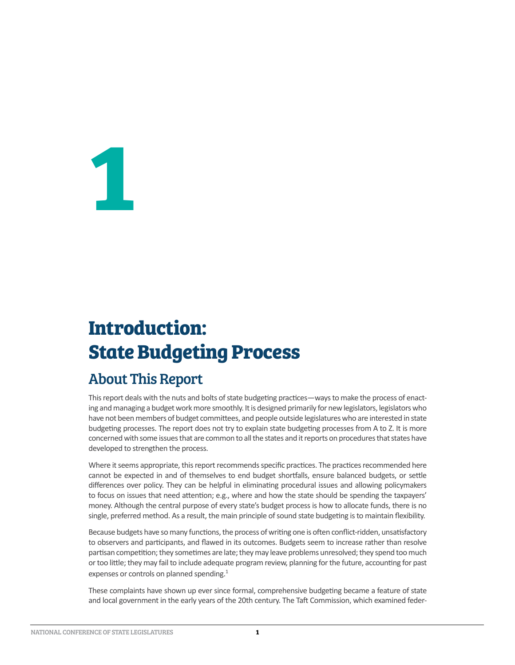# <span id="page-3-0"></span>**1**

## **Introduction: State Budgeting Process**

## About This Report

This report deals with the nuts and bolts of state budgeting practices—ways to make the process of enacting and managing a budget work more smoothly. It is designed primarily for new legislators, legislators who have not been members of budget committees, and people outside legislatures who are interested in state budgeting processes. The report does not try to explain state budgeting processes from A to Z. It is more concerned with some issues that are common to all the states and it reports on procedures that states have developed to strengthen the process.

Where it seems appropriate, this report recommends specific practices. The practices recommended here cannot be expected in and of themselves to end budget shortfalls, ensure balanced budgets, or settle differences over policy. They can be helpful in eliminating procedural issues and allowing policymakers to focus on issues that need attention; e.g., where and how the state should be spending the taxpayers' money. Although the central purpose of every state's budget process is how to allocate funds, there is no single, preferred method. As a result, the main principle of sound state budgeting is to maintain flexibility.

Because budgets have so many functions, the process of writing one is often conflict-ridden, unsatisfactory to observers and participants, and flawed in its outcomes. Budgets seem to increase rather than resolve partisan competition; they sometimes are late; they may leave problems unresolved; they spend too much or too little; they may fail to include adequate program review, planning for the future, accounting for past expenses or controls on planned spending.<sup>1</sup>

These complaints have shown up ever since formal, comprehensive budgeting became a feature of state and local government in the early years of the 20th century. The Taft Commission, which examined feder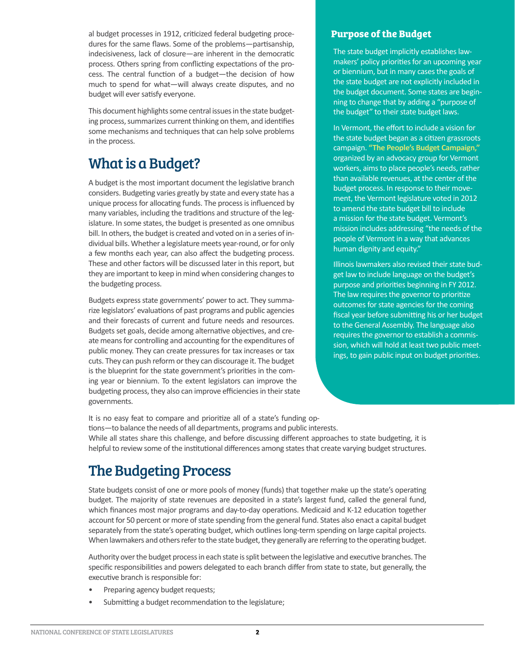<span id="page-4-0"></span>al budget processes in 1912, criticized federal budgeting procedures for the same flaws. Some of the problems—partisanship, indecisiveness, lack of closure—are inherent in the democratic process. Others spring from conflicting expectations of the process. The central function of a budget—the decision of how much to spend for what—will always create disputes, and no budget will ever satisfy everyone.

This document highlights some central issues in the state budgeting process, summarizes current thinking on them, and identifies some mechanisms and techniques that can help solve problems in the process.

## What is a Budget?

A budget is the most important document the legislative branch considers. Budgeting varies greatly by state and every state has a unique process for allocating funds. The process is influenced by many variables, including the traditions and structure of the legislature. In some states, the budget is presented as one omnibus bill. In others, the budget is created and voted on in a series of individual bills. Whether a legislature meets year-round, or for only a few months each year, can also affect the budgeting process. These and other factors will be discussed later in this report, but they are important to keep in mind when considering changes to the budgeting process.

Budgets express state governments' power to act. They summarize legislators' evaluations of past programs and public agencies and their forecasts of current and future needs and resources. Budgets set goals, decide among alternative objectives, and create means for controlling and accounting for the expenditures of public money. They can create pressures for tax increases or tax cuts. They can push reform or they can discourage it. The budget is the blueprint for the state government's priorities in the coming year or biennium. To the extent legislators can improve the budgeting process, they also can improve efficiencies in their state governments.

#### **Purpose of the Budget**

The state budget implicitly establishes lawmakers' policy priorities for an upcoming year or biennium, but in many cases the goals of the state budget are not explicitly included in the budget document. Some states are beginning to change that by adding a "purpose of the budget" to their state budget laws.

In Vermont, the effort to include a vision for the state budget began as a citizen grassroots campaign. **["The People's Budget Campaign,"](http://www.nesri.org/programs/the-peoples-budget-campaign-in-vermont)** organized by an advocacy group for Vermont workers, aims to place people's needs, rather than available revenues, at the center of the budget process. In response to their movement, the Vermont legislature voted in 2012 to amend the state budget bill to include a mission for the state budget. Vermont's mission includes addressing "the needs of the people of Vermont in a way that advances human dignity and equity."

Illinois lawmakers also revised their state budget law to include language on the budget's purpose and priorities beginning in FY 2012. The law requires the governor to prioritize outcomes for state agencies for the coming fiscal year before submitting his or her budget to the General Assembly. The language also requires the governor to establish a commission, which will hold at least two public meetings, to gain public input on budget priorities.

It is no easy feat to compare and prioritize all of a state's funding options—to balance the needs of all departments, programs and public interests. While all states share this challenge, and before discussing different approaches to state budgeting, it is helpful to review some of the institutional differences among states that create varying budget structures.

## The Budgeting Process

State budgets consist of one or more pools of money (funds) that together make up the state's operating budget. The majority of state revenues are deposited in a state's largest fund, called the general fund, which finances most major programs and day-to-day operations. Medicaid and K-12 education together account for 50 percent or more of state spending from the general fund. States also enact a capital budget separately from the state's operating budget, which outlines long-term spending on large capital projects. When lawmakers and others refer to the state budget, they generally are referring to the operating budget.

Authority over the budget process in each state is split between the legislative and executive branches. The specific responsibilities and powers delegated to each branch differ from state to state, but generally, the executive branch is responsible for:

- Preparing agency budget requests;
- Submitting a budget recommendation to the legislature;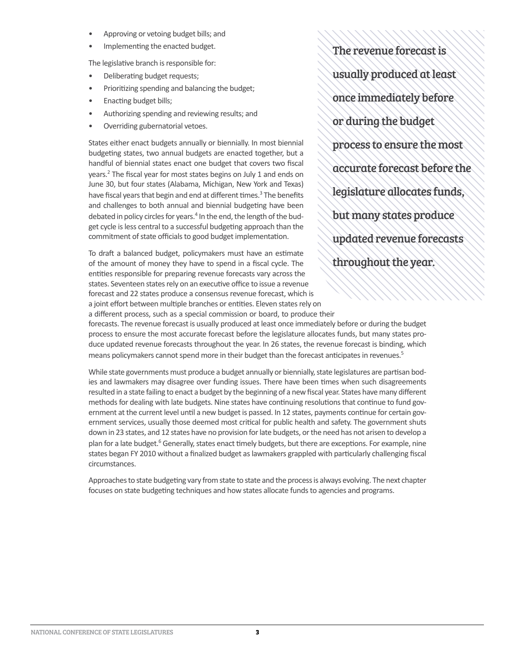- Approving or vetoing budget bills; and
- Implementing the enacted budget.

The legislative branch is responsible for:

- Deliberating budget requests;
- Prioritizing spending and balancing the budget;
- Enacting budget bills;
- Authorizing spending and reviewing results; and
- Overriding gubernatorial vetoes.

States either enact budgets annually or biennially. In most biennial budgeting states, two annual budgets are enacted together, but a handful of biennial states enact one budget that covers two fiscal years.<sup>2</sup> The fiscal year for most states begins on July 1 and ends on June 30, but four states (Alabama, Michigan, New York and Texas) have fiscal years that begin and end at different times.<sup>3</sup> The benefits and challenges to both annual and biennial budgeting have been debated in policy circles for years.<sup>4</sup> In the end, the length of the budget cycle is less central to a successful budgeting approach than the commitment of state officials to good budget implementation.

To draft a balanced budget, policymakers must have an estimate of the amount of money they have to spend in a fiscal cycle. The entities responsible for preparing revenue forecasts vary across the states. Seventeen states rely on an executive office to issue a revenue forecast and 22 states produce a consensus revenue forecast, which is a joint effort between multiple branches or entities. Eleven states rely on a different process, such as a special commission or board, to produce their

The revenue forecast is usually produced at least once immediately before or during the budget process to ensure the most accurate forecast before the legislature allocates funds, but many states produce updated revenue forecasts throughout the year.

forecasts. The revenue forecast is usually produced at least once immediately before or during the budget process to ensure the most accurate forecast before the legislature allocates funds, but many states produce updated revenue forecasts throughout the year. In 26 states, the revenue forecast is binding, which means policymakers cannot spend more in their budget than the forecast anticipates in revenues.<sup>5</sup>

While state governments must produce a budget annually or biennially, state legislatures are partisan bodies and lawmakers may disagree over funding issues. There have been times when such disagreements resulted in a state failing to enact a budget by the beginning of a new fiscal year. States have many different methods for dealing with late budgets. Nine states have continuing resolutions that continue to fund government at the current level until a new budget is passed. In 12 states, payments continue for certain government services, usually those deemed most critical for public health and safety. The government shuts down in 23 states, and 12 states have no provision for late budgets, or the need has not arisen to develop a plan for a late budget.<sup>6</sup> Generally, states enact timely budgets, but there are exceptions. For example, nine states began FY 2010 without a finalized budget as lawmakers grappled with particularly challenging fiscal circumstances.

Approaches to state budgeting vary from state to state and the process is always evolving. The next chapter focuses on state budgeting techniques and how states allocate funds to agencies and programs.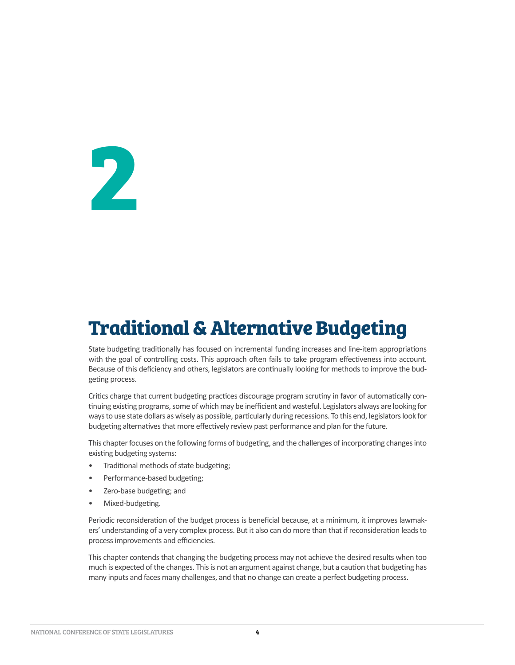# <span id="page-6-0"></span>**2**

## **Traditional & Alternative Budgeting**

State budgeting traditionally has focused on incremental funding increases and line-item appropriations with the goal of controlling costs. This approach often fails to take program effectiveness into account. Because of this deficiency and others, legislators are continually looking for methods to improve the budgeting process.

Critics charge that current budgeting practices discourage program scrutiny in favor of automatically continuing existing programs, some of which may be inefficient and wasteful. Legislators always are looking for ways to use state dollars as wisely as possible, particularly during recessions. To this end, legislators look for budgeting alternatives that more effectively review past performance and plan for the future.

This chapter focuses on the following forms of budgeting, and the challenges of incorporating changes into existing budgeting systems:

- Traditional methods of state budgeting;
- Performance-based budgeting;
- Zero-base budgeting; and
- Mixed-budgeting.

Periodic reconsideration of the budget process is beneficial because, at a minimum, it improves lawmakers' understanding of a very complex process. But it also can do more than that if reconsideration leads to process improvements and efficiencies.

This chapter contends that changing the budgeting process may not achieve the desired results when too much is expected of the changes. This is not an argument against change, but a caution that budgeting has many inputs and faces many challenges, and that no change can create a perfect budgeting process.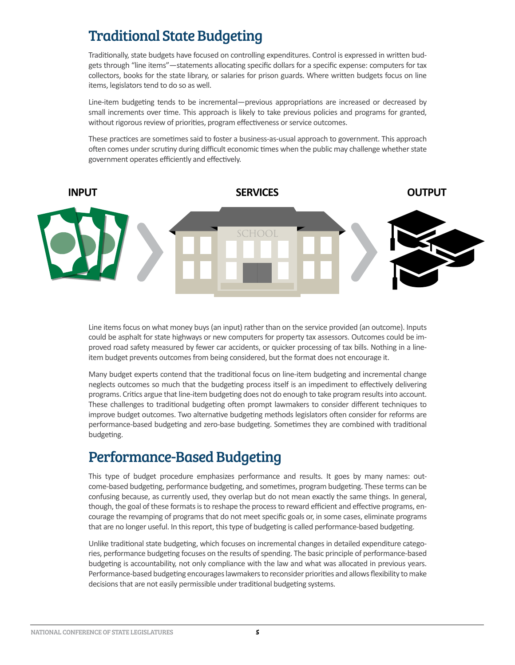## <span id="page-7-0"></span>Traditional State Budgeting

Traditionally, state budgets have focused on controlling expenditures. Control is expressed in written budgets through "line items"—statements allocating specific dollars for a specific expense: computers for tax collectors, books for the state library, or salaries for prison guards. Where written budgets focus on line items, legislators tend to do so as well.

Line-item budgeting tends to be incremental—previous appropriations are increased or decreased by small increments over time. This approach is likely to take previous policies and programs for granted, without rigorous review of priorities, program effectiveness or service outcomes.

These practices are sometimes said to foster a business-as-usual approach to government. This approach often comes under scrutiny during difficult economic times when the public may challenge whether state government operates efficiently and effectively.



Line items focus on what money buys (an input) rather than on the service provided (an outcome). Inputs could be asphalt for state highways or new computers for property tax assessors. Outcomes could be improved road safety measured by fewer car accidents, or quicker processing of tax bills. Nothing in a lineitem budget prevents outcomes from being considered, but the format does not encourage it.

Many budget experts contend that the traditional focus on line-item budgeting and incremental change neglects outcomes so much that the budgeting process itself is an impediment to effectively delivering programs. Critics argue that line-item budgeting does not do enough to take program results into account. These challenges to traditional budgeting often prompt lawmakers to consider different techniques to improve budget outcomes. Two alternative budgeting methods legislators often consider for reforms are performance-based budgeting and zero-base budgeting. Sometimes they are combined with traditional budgeting.

## Performance-Based Budgeting

This type of budget procedure emphasizes performance and results. It goes by many names: outcome-based budgeting, performance budgeting, and sometimes, program budgeting. These terms can be confusing because, as currently used, they overlap but do not mean exactly the same things. In general, though, the goal of these formats is to reshape the process to reward efficient and effective programs, encourage the revamping of programs that do not meet specific goals or, in some cases, eliminate programs that are no longer useful. In this report, this type of budgeting is called performance-based budgeting.

Unlike traditional state budgeting, which focuses on incremental changes in detailed expenditure categories, performance budgeting focuses on the results of spending. The basic principle of performance-based budgeting is accountability, not only compliance with the law and what was allocated in previous years. Performance-based budgeting encourages lawmakers to reconsider priorities and allows flexibility to make decisions that are not easily permissible under traditional budgeting systems.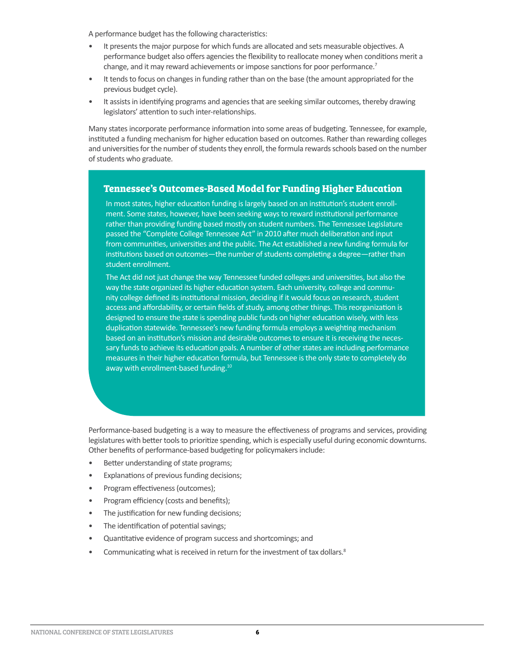A performance budget has the following characteristics:

- It presents the major purpose for which funds are allocated and sets measurable objectives. A performance budget also offers agencies the flexibility to reallocate money when conditions merit a change, and it may reward achievements or impose sanctions for poor performance.7
- It tends to focus on changes in funding rather than on the base (the amount appropriated for the previous budget cycle).
- It assists in identifying programs and agencies that are seeking similar outcomes, thereby drawing legislators' attention to such inter-relationships.

Many states incorporate performance information into some areas of budgeting. Tennessee, for example, instituted a funding mechanism for higher education based on outcomes. Rather than rewarding colleges and universities for the number of students they enroll, the formula rewards schools based on the number of students who graduate.

#### **Tennessee's Outcomes-Based Model for Funding Higher Education**

In most states, higher education funding is largely based on an institution's student enrollment. Some states, however, have been seeking ways to reward institutional performance rather than providing funding based mostly on student numbers. The Tennessee Legislature passed the "Complete College Tennessee Act" in 2010 after much deliberation and input from communities, universities and the public. The Act established a new funding formula for institutions based on outcomes—the number of students completing a degree—rather than student enrollment.

The Act did not just change the way Tennessee funded colleges and universities, but also the way the state organized its higher education system. Each university, college and community college defined its institutional mission, deciding if it would focus on research, student access and affordability, or certain fields of study, among other things. This reorganization is designed to ensure the state is spending public funds on higher education wisely, with less duplication statewide. Tennessee's new funding formula employs a weighting mechanism based on an institution's mission and desirable outcomes to ensure it is receiving the necessary funds to achieve its education goals. A number of other states are including performance measures in their higher education formula, but Tennessee is the only state to completely do away with enrollment-based funding.<sup>10</sup>

Performance-based budgeting is a way to measure the effectiveness of programs and services, providing legislatures with better tools to prioritize spending, which is especially useful during economic downturns. Other benefits of performance-based budgeting for policymakers include:

- Better understanding of state programs;
- Explanations of previous funding decisions;
- Program effectiveness (outcomes);
- Program efficiency (costs and benefits);
- The justification for new funding decisions;
- The identification of potential savings;
- Quantitative evidence of program success and shortcomings; and
- Communicating what is received in return for the investment of tax dollars.<sup>8</sup>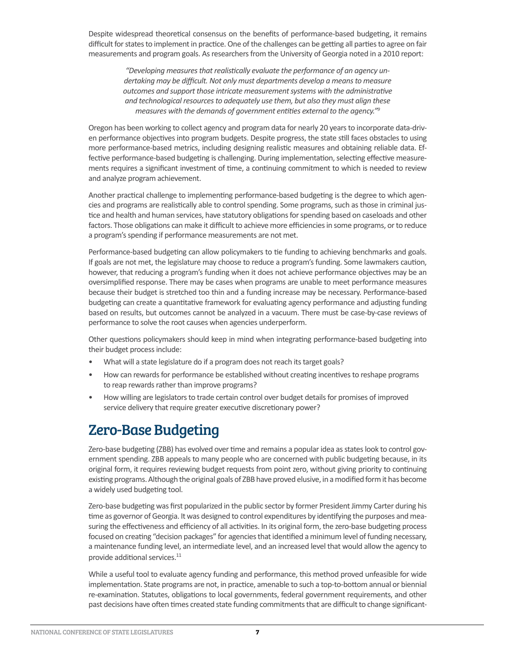<span id="page-9-0"></span>Despite widespread theoretical consensus on the benefits of performance-based budgeting, it remains difficult for states to implement in practice. One of the challenges can be getting all parties to agree on fair measurements and program goals. As researchers from the University of Georgia noted in a 2010 report:

> *"Developing measures that realistically evaluate the performance of an agency undertaking may be difficult. Not only must departments develop a means to measure outcomes and support those intricate measurement systems with the administrative and technological resources to adequately use them, but also they must align these measures with the demands of government entities external to the agency."<sup>9</sup>*

Oregon has been working to collect agency and program data for nearly 20 years to incorporate data-driven performance objectives into program budgets. Despite progress, the state still faces obstacles to using more performance-based metrics, including designing realistic measures and obtaining reliable data. Effective performance-based budgeting is challenging. During implementation, selecting effective measurements requires a significant investment of time, a continuing commitment to which is needed to review and analyze program achievement.

Another practical challenge to implementing performance-based budgeting is the degree to which agencies and programs are realistically able to control spending. Some programs, such as those in criminal justice and health and human services, have statutory obligations for spending based on caseloads and other factors. Those obligations can make it difficult to achieve more efficiencies in some programs, or to reduce a program's spending if performance measurements are not met.

Performance-based budgeting can allow policymakers to tie funding to achieving benchmarks and goals. If goals are not met, the legislature may choose to reduce a program's funding. Some lawmakers caution, however, that reducing a program's funding when it does not achieve performance objectives may be an oversimplified response. There may be cases when programs are unable to meet performance measures because their budget is stretched too thin and a funding increase may be necessary. Performance-based budgeting can create a quantitative framework for evaluating agency performance and adjusting funding based on results, but outcomes cannot be analyzed in a vacuum. There must be case-by-case reviews of performance to solve the root causes when agencies underperform.

Other questions policymakers should keep in mind when integrating performance-based budgeting into their budget process include:

- What will a state legislature do if a program does not reach its target goals?
- How can rewards for performance be established without creating incentives to reshape programs to reap rewards rather than improve programs?
- How willing are legislators to trade certain control over budget details for promises of improved service delivery that require greater executive discretionary power?

## Zero-Base Budgeting

Zero-base budgeting (ZBB) has evolved over time and remains a popular idea as states look to control government spending. ZBB appeals to many people who are concerned with public budgeting because, in its original form, it requires reviewing budget requests from point zero, without giving priority to continuing existing programs. Although the original goals of ZBB have proved elusive, in a modified form it has become a widely used budgeting tool.

Zero-base budgeting was first popularized in the public sector by former President Jimmy Carter during his time as governor of Georgia. It was designed to control expenditures by identifying the purposes and measuring the effectiveness and efficiency of all activities. In its original form, the zero-base budgeting process focused on creating "decision packages" for agencies that identified a minimum level of funding necessary, a maintenance funding level, an intermediate level, and an increased level that would allow the agency to provide additional services.<sup>11</sup>

While a useful tool to evaluate agency funding and performance, this method proved unfeasible for wide implementation. State programs are not, in practice, amenable to such a top-to-bottom annual or biennial re-examination. Statutes, obligations to local governments, federal government requirements, and other past decisions have often times created state funding commitments that are difficult to change significant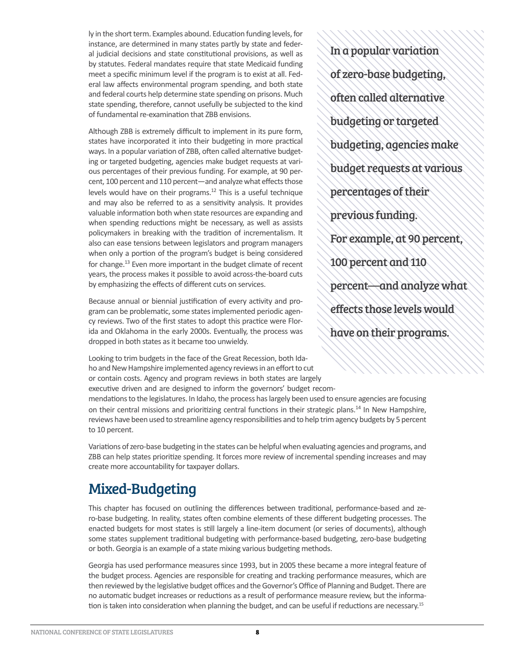<span id="page-10-0"></span>ly in the short term. Examples abound. Education funding levels, for instance, are determined in many states partly by state and federal judicial decisions and state constitutional provisions, as well as by statutes. Federal mandates require that state Medicaid funding meet a specific minimum level if the program is to exist at all. Federal law affects environmental program spending, and both state and federal courts help determine state spending on prisons. Much state spending, therefore, cannot usefully be subjected to the kind of fundamental re-examination that ZBB envisions.

Although ZBB is extremely difficult to implement in its pure form, states have incorporated it into their budgeting in more practical ways. In a popular variation of ZBB, often called alternative budgeting or targeted budgeting, agencies make budget requests at various percentages of their previous funding. For example, at 90 percent, 100 percent and 110 percent—and analyze what effects those levels would have on their programs. $12$  This is a useful technique and may also be referred to as a sensitivity analysis. It provides valuable information both when state resources are expanding and when spending reductions might be necessary, as well as assists policymakers in breaking with the tradition of incrementalism. It also can ease tensions between legislators and program managers when only a portion of the program's budget is being considered for change.13 Even more important in the budget climate of recent years, the process makes it possible to avoid across-the-board cuts by emphasizing the effects of different cuts on services.

Because annual or biennial justification of every activity and program can be problematic, some states implemented periodic agency reviews. Two of the first states to adopt this practice were Florida and Oklahoma in the early 2000s. Eventually, the process was dropped in both states as it became too unwieldy.

Looking to trim budgets in the face of the Great Recession, both Idaho and New Hampshire implemented agency reviews in an effort to cut or contain costs. Agency and program reviews in both states are largely executive driven and are designed to inform the governors' budget recom-

In a popular variation of zero-base budgeting, often called alternative budgeting or targeted budgeting, agencies make budget requests at various percentages of their previous funding. For example, at 90 percent, 100 percent and 110 percent—and analyze what effects those levels would have on their programs.

mendations to the legislatures. In Idaho, the process has largely been used to ensure agencies are focusing on their central missions and prioritizing central functions in their strategic plans.14 In New Hampshire, reviews have been used to streamline agency responsibilities and to help trim agency budgets by 5 percent to 10 percent.

Variations of zero-base budgeting in the states can be helpful when evaluating agencies and programs, and ZBB can help states prioritize spending. It forces more review of incremental spending increases and may create more accountability for taxpayer dollars.

## Mixed-Budgeting

This chapter has focused on outlining the differences between traditional, performance-based and zero-base budgeting. In reality, states often combine elements of these different budgeting processes. The enacted budgets for most states is still largely a line-item document (or series of documents), although some states supplement traditional budgeting with performance-based budgeting, zero-base budgeting or both. Georgia is an example of a state mixing various budgeting methods.

Georgia has used performance measures since 1993, but in 2005 these became a more integral feature of the budget process. Agencies are responsible for creating and tracking performance measures, which are then reviewed by the legislative budget offices and the Governor's Office of Planning and Budget. There are no automatic budget increases or reductions as a result of performance measure review, but the information is taken into consideration when planning the budget, and can be useful if reductions are necessary.<sup>15</sup>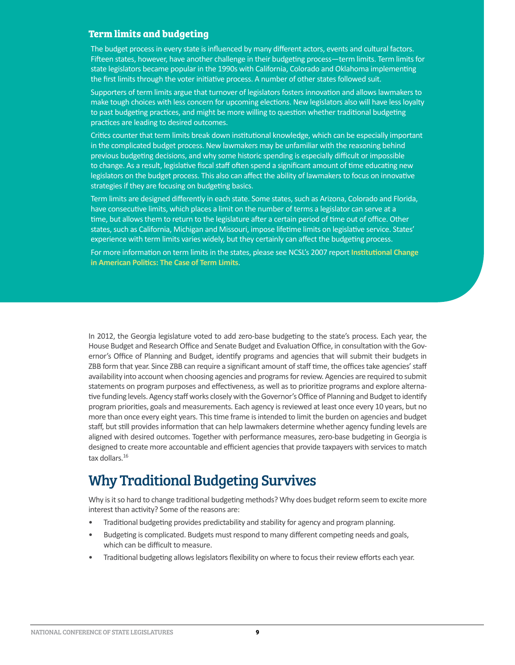#### <span id="page-11-0"></span>**Term limits and budgeting**

The budget process in every state is influenced by many different actors, events and cultural factors. Fifteen states, however, have another challenge in their budgeting process—term limits. Term limits for state legislators became popular in the 1990s with California, Colorado and Oklahoma implementing the first limits through the voter initiative process. A number of other states followed suit.

Supporters of term limits argue that turnover of legislators fosters innovation and allows lawmakers to make tough choices with less concern for upcoming elections. New legislators also will have less loyalty to past budgeting practices, and might be more willing to question whether traditional budgeting practices are leading to desired outcomes.

Critics counter that term limits break down institutional knowledge, which can be especially important in the complicated budget process. New lawmakers may be unfamiliar with the reasoning behind previous budgeting decisions, and why some historic spending is especially difficult or impossible to change. As a result, legislative fiscal staff often spend a significant amount of time educating new legislators on the budget process. This also can affect the ability of lawmakers to focus on innovative strategies if they are focusing on budgeting basics.

Term limits are designed differently in each state. Some states, such as Arizona, Colorado and Florida, have consecutive limits, which places a limit on the number of terms a legislator can serve at a time, but allows them to return to the legislature after a certain period of time out of office. Other states, such as California, Michigan and Missouri, impose lifetime limits on legislative service. States' experience with term limits varies widely, but they certainly can affect the budgeting process.

For more information on term limits in the states, please see NCSL's 2007 report **[Institutional Change](http://www.ncsl.org/default.aspx?tabid=14769)  [in American Politics: The Case of Term Limits](http://www.ncsl.org/default.aspx?tabid=14769)**.

In 2012, the Georgia legislature voted to add zero-base budgeting to the state's process. Each year, the House Budget and Research Office and Senate Budget and Evaluation Office, in consultation with the Governor's Office of Planning and Budget, identify programs and agencies that will submit their budgets in ZBB form that year. Since ZBB can require a significant amount of staff time, the offices take agencies' staff availability into account when choosing agencies and programs for review. Agencies are required to submit statements on program purposes and effectiveness, as well as to prioritize programs and explore alternative funding levels. Agency staff works closely with the Governor's Office of Planning and Budget to identify program priorities, goals and measurements. Each agency is reviewed at least once every 10 years, but no more than once every eight years. This time frame is intended to limit the burden on agencies and budget staff, but still provides information that can help lawmakers determine whether agency funding levels are aligned with desired outcomes. Together with performance measures, zero-base budgeting in Georgia is designed to create more accountable and efficient agencies that provide taxpayers with services to match tax dollars.<sup>16</sup>

## Why Traditional Budgeting Survives

Why is it so hard to change traditional budgeting methods? Why does budget reform seem to excite more interest than activity? Some of the reasons are:

- Traditional budgeting provides predictability and stability for agency and program planning.
- Budgeting is complicated. Budgets must respond to many different competing needs and goals, which can be difficult to measure.
- Traditional budgeting allows legislators flexibility on where to focus their review efforts each year.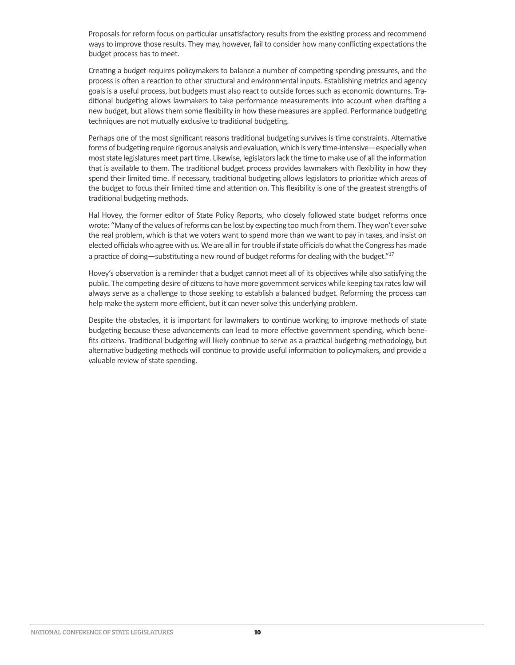Proposals for reform focus on particular unsatisfactory results from the existing process and recommend ways to improve those results. They may, however, fail to consider how many conflicting expectations the budget process has to meet.

Creating a budget requires policymakers to balance a number of competing spending pressures, and the process is often a reaction to other structural and environmental inputs. Establishing metrics and agency goals is a useful process, but budgets must also react to outside forces such as economic downturns. Traditional budgeting allows lawmakers to take performance measurements into account when drafting a new budget, but allows them some flexibility in how these measures are applied. Performance budgeting techniques are not mutually exclusive to traditional budgeting.

Perhaps one of the most significant reasons traditional budgeting survives is time constraints. Alternative forms of budgeting require rigorous analysis and evaluation, which is very time-intensive—especially when most state legislatures meet part time. Likewise, legislators lack the time to make use of all the information that is available to them. The traditional budget process provides lawmakers with flexibility in how they spend their limited time. If necessary, traditional budgeting allows legislators to prioritize which areas of the budget to focus their limited time and attention on. This flexibility is one of the greatest strengths of traditional budgeting methods.

Hal Hovey, the former editor of State Policy Reports, who closely followed state budget reforms once wrote: "Many of the values of reforms can be lost by expecting too much from them. They won't ever solve the real problem, which is that we voters want to spend more than we want to pay in taxes, and insist on elected officials who agree with us. We are all in for trouble if state officials do what the Congress has made a practice of doing—substituting a new round of budget reforms for dealing with the budget."<sup>17</sup>

Hovey's observation is a reminder that a budget cannot meet all of its objectives while also satisfying the public. The competing desire of citizens to have more government services while keeping tax rates low will always serve as a challenge to those seeking to establish a balanced budget. Reforming the process can help make the system more efficient, but it can never solve this underlying problem.

Despite the obstacles, it is important for lawmakers to continue working to improve methods of state budgeting because these advancements can lead to more effective government spending, which benefits citizens. Traditional budgeting will likely continue to serve as a practical budgeting methodology, but alternative budgeting methods will continue to provide useful information to policymakers, and provide a valuable review of state spending.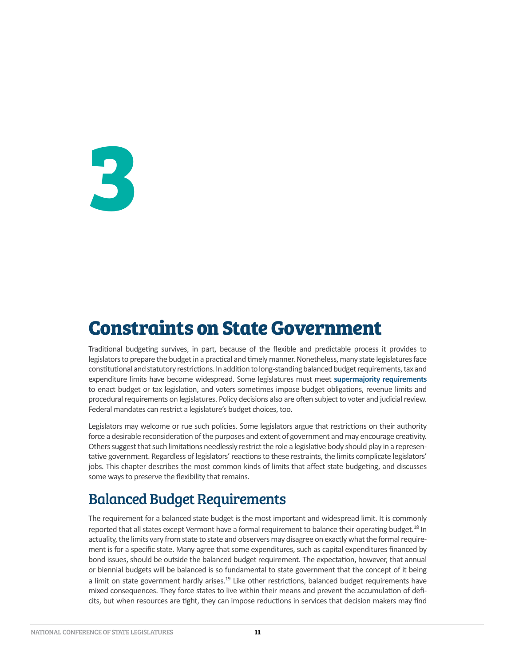<span id="page-13-0"></span>**3**

## **Constraints on State Government**

Traditional budgeting survives, in part, because of the flexible and predictable process it provides to legislators to prepare the budget in a practical and timely manner. Nonetheless, many state legislatures face constitutional and statutory restrictions. In addition to long-standing balanced budget requirements, tax and expenditure limits have become widespread. Some legislatures must meet **[supermajority requirements](http://www.ncsl.org/research/fiscal-policy/supermajority-vote-requirements-to-pass-the-budget635566644.aspx)** to enact budget or tax legislation, and voters sometimes impose budget obligations, revenue limits and procedural requirements on legislatures. Policy decisions also are often subject to voter and judicial review. Federal mandates can restrict a legislature's budget choices, too.

Legislators may welcome or rue such policies. Some legislators argue that restrictions on their authority force a desirable reconsideration of the purposes and extent of government and may encourage creativity. Others suggest that such limitations needlessly restrict the role a legislative body should play in a representative government. Regardless of legislators' reactions to these restraints, the limits complicate legislators' jobs. This chapter describes the most common kinds of limits that affect state budgeting, and discusses some ways to preserve the flexibility that remains.

## Balanced Budget Requirements

The requirement for a balanced state budget is the most important and widespread limit. It is commonly reported that all states except Vermont have a formal requirement to balance their operating budget.<sup>18</sup> In actuality, the limits vary from state to state and observers may disagree on exactly what the formal requirement is for a specific state. Many agree that some expenditures, such as capital expenditures financed by bond issues, should be outside the balanced budget requirement. The expectation, however, that annual or biennial budgets will be balanced is so fundamental to state government that the concept of it being a limit on state government hardly arises.<sup>19</sup> Like other restrictions, balanced budget requirements have mixed consequences. They force states to live within their means and prevent the accumulation of deficits, but when resources are tight, they can impose reductions in services that decision makers may find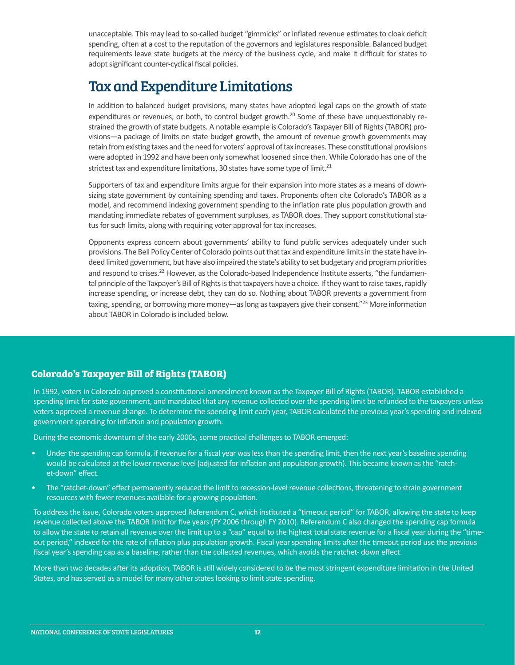<span id="page-14-0"></span>unacceptable. This may lead to so-called budget "gimmicks" or inflated revenue estimates to cloak deficit spending, often at a cost to the reputation of the governors and legislatures responsible. Balanced budget requirements leave state budgets at the mercy of the business cycle, and make it difficult for states to adopt significant counter-cyclical fiscal policies.

## Tax and Expenditure Limitations

In addition to balanced budget provisions, many states have adopted legal caps on the growth of state expenditures or revenues, or both, to control budget growth.<sup>20</sup> Some of these have unquestionably restrained the growth of state budgets. A notable example is Colorado's Taxpayer Bill of Rights (TABOR) provisions—a package of limits on state budget growth, the amount of revenue growth governments may retain from existing taxes and the need for voters' approval of tax increases. These constitutional provisions were adopted in 1992 and have been only somewhat loosened since then. While Colorado has one of the strictest tax and expenditure limitations, 30 states have some type of limit. $^{21}$ 

Supporters of tax and expenditure limits argue for their expansion into more states as a means of downsizing state government by containing spending and taxes. Proponents often cite Colorado's TABOR as a model, and recommend indexing government spending to the inflation rate plus population growth and mandating immediate rebates of government surpluses, as TABOR does. They support constitutional status for such limits, along with requiring voter approval for tax increases.

Opponents express concern about governments' ability to fund public services adequately under such provisions. The Bell Policy Center of Colorado points out that tax and expenditure limits in the state have indeed limited government, but have also impaired the state's ability to set budgetary and program priorities and respond to crises.<sup>22</sup> However, as the Colorado-based Independence Institute asserts, "the fundamental principle of the Taxpayer's Bill of Rights is that taxpayers have a choice. If they want to raise taxes, rapidly increase spending, or increase debt, they can do so. Nothing about TABOR prevents a government from taxing, spending, or borrowing more money—as long as taxpayers give their consent."<sup>23</sup> More information about TABOR in Colorado is included below.

#### **Colorado's Taxpayer Bill of Rights (TABOR)**

In 1992, voters in Colorado approved a constitutional amendment known as the Taxpayer Bill of Rights (TABOR). TABOR established a spending limit for state government, and mandated that any revenue collected over the spending limit be refunded to the taxpayers unless voters approved a revenue change. To determine the spending limit each year, TABOR calculated the previous year's spending and indexed government spending for inflation and population growth.

During the economic downturn of the early 2000s, some practical challenges to TABOR emerged:

- Under the spending cap formula, if revenue for a fiscal year was less than the spending limit, then the next year's baseline spending would be calculated at the lower revenue level (adjusted for inflation and population growth). This became known as the "ratchet-down" effect.
- The "ratchet-down" effect permanently reduced the limit to recession-level revenue collections, threatening to strain government resources with fewer revenues available for a growing population.

To address the issue, Colorado voters approved Referendum C, which instituted a "timeout period" for TABOR, allowing the state to keep revenue collected above the TABOR limit for five years (FY 2006 through FY 2010). Referendum C also changed the spending cap formula to allow the state to retain all revenue over the limit up to a "cap" equal to the highest total state revenue for a fiscal year during the "timeout period," indexed for the rate of inflation plus population growth. Fiscal year spending limits after the timeout period use the previous fiscal year's spending cap as a baseline, rather than the collected revenues, which avoids the ratchet- down effect.

More than two decades after its adoption, TABOR is still widely considered to be the most stringent expenditure limitation in the United States, and has served as a model for many other states looking to limit state spending.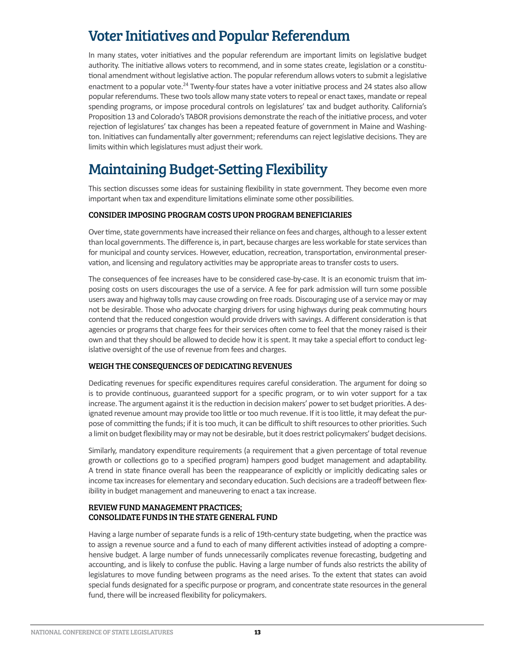## <span id="page-15-0"></span>Voter Initiatives and Popular Referendum

In many states, voter initiatives and the popular referendum are important limits on legislative budget authority. The initiative allows voters to recommend, and in some states create, legislation or a constitutional amendment without legislative action. The popular referendum allows voters to submit a legislative enactment to a popular vote.<sup>24</sup> Twenty-four states have a voter initiative process and 24 states also allow popular referendums. These two tools allow many state voters to repeal or enact taxes, mandate or repeal spending programs, or impose procedural controls on legislatures' tax and budget authority. California's Proposition 13 and Colorado's TABOR provisions demonstrate the reach of the initiative process, and voter rejection of legislatures' tax changes has been a repeated feature of government in Maine and Washington. Initiatives can fundamentally alter government; referendums can reject legislative decisions. They are limits within which legislatures must adjust their work.

## Maintaining Budget-Setting Flexibility

This section discusses some ideas for sustaining flexibility in state government. They become even more important when tax and expenditure limitations eliminate some other possibilities.

#### CONSIDER IMPOSING PROGRAM COSTS UPON PROGRAM BENEFICIARIES

Over time, state governments have increased their reliance on fees and charges, although to a lesser extent than local governments. The difference is, in part, because charges are less workable for state services than for municipal and county services. However, education, recreation, transportation, environmental preservation, and licensing and regulatory activities may be appropriate areas to transfer costs to users.

The consequences of fee increases have to be considered case-by-case. It is an economic truism that imposing costs on users discourages the use of a service. A fee for park admission will turn some possible users away and highway tolls may cause crowding on free roads. Discouraging use of a service may or may not be desirable. Those who advocate charging drivers for using highways during peak commuting hours contend that the reduced congestion would provide drivers with savings. A different consideration is that agencies or programs that charge fees for their services often come to feel that the money raised is their own and that they should be allowed to decide how it is spent. It may take a special effort to conduct legislative oversight of the use of revenue from fees and charges.

#### WEIGH THE CONSEQUENCES OF DEDICATING REVENUES

Dedicating revenues for specific expenditures requires careful consideration. The argument for doing so is to provide continuous, guaranteed support for a specific program, or to win voter support for a tax increase. The argument against it is the reduction in decision makers' power to set budget priorities. A designated revenue amount may provide too little or too much revenue. If it is too little, it may defeat the purpose of committing the funds; if it is too much, it can be difficult to shift resources to other priorities. Such a limit on budget flexibility may or may not be desirable, but it does restrict policymakers' budget decisions.

Similarly, mandatory expenditure requirements (a requirement that a given percentage of total revenue growth or collections go to a specified program) hampers good budget management and adaptability. A trend in state finance overall has been the reappearance of explicitly or implicitly dedicating sales or income tax increases for elementary and secondary education. Such decisions are a tradeoff between flexibility in budget management and maneuvering to enact a tax increase.

#### REVIEW FUND MANAGEMENT PRACTICES; CONSOLIDATE FUNDS IN THE STATE GENERAL FUND

Having a large number of separate funds is a relic of 19th-century state budgeting, when the practice was to assign a revenue source and a fund to each of many different activities instead of adopting a comprehensive budget. A large number of funds unnecessarily complicates revenue forecasting, budgeting and accounting, and is likely to confuse the public. Having a large number of funds also restricts the ability of legislatures to move funding between programs as the need arises. To the extent that states can avoid special funds designated for a specific purpose or program, and concentrate state resources in the general fund, there will be increased flexibility for policymakers.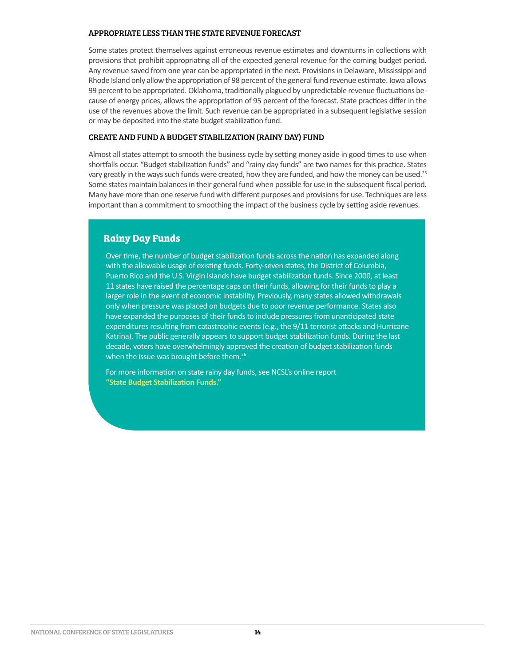#### <span id="page-16-0"></span>APPROPRIATE LESS THAN THE STATE REVENUE FORECAST

Some states protect themselves against erroneous revenue estimates and downturns in collections with provisions that prohibit appropriating all of the expected general revenue for the coming budget period. Any revenue saved from one year can be appropriated in the next. Provisions in Delaware, Mississippi and Rhode Island only allow the appropriation of 98 percent of the general fund revenue estimate. Iowa allows 99 percent to be appropriated. Oklahoma, traditionally plagued by unpredictable revenue fluctuations because of energy prices, allows the appropriation of 95 percent of the forecast. State practices differ in the use of the revenues above the limit. Such revenue can be appropriated in a subsequent legislative session or may be deposited into the state budget stabilization fund.

#### CREATE AND FUND A BUDGET STABILIZATION (RAINY DAY) FUND

Almost all states attempt to smooth the business cycle by setting money aside in good times to use when shortfalls occur. "Budget stabilization funds" and "rainy day funds" are two names for this practice. States vary greatly in the ways such funds were created, how they are funded, and how the money can be used.<sup>25</sup> Some states maintain balances in their general fund when possible for use in the subsequent fiscal period. Many have more than one reserve fund with different purposes and provisions for use. Techniques are less important than a commitment to smoothing the impact of the business cycle by setting aside revenues.

#### **Rainy Day Funds**

Over time, the number of budget stabilization funds across the nation has expanded along with the allowable usage of existing funds. Forty-seven states, the District of Columbia, Puerto Rico and the U.S. Virgin Islands have budget stabilization funds. Since 2000, at least 11 states have raised the percentage caps on their funds, allowing for their funds to play a larger role in the event of economic instability. Previously, many states allowed withdrawals only when pressure was placed on budgets due to poor revenue performance. States also have expanded the purposes of their funds to include pressures from unanticipated state expenditures resulting from catastrophic events (e.g., the 9/11 terrorist attacks and Hurricane Katrina). The public generally appears to support budget stabilization funds. During the last decade, voters have overwhelmingly approved the creation of budget stabilization funds when the issue was brought before them.<sup>26</sup>

For more information on state rainy day funds, see NCSL's online report **["State Budget Stabilization Funds](http://www.ncsl.org/default.aspx?tabid=12630)."**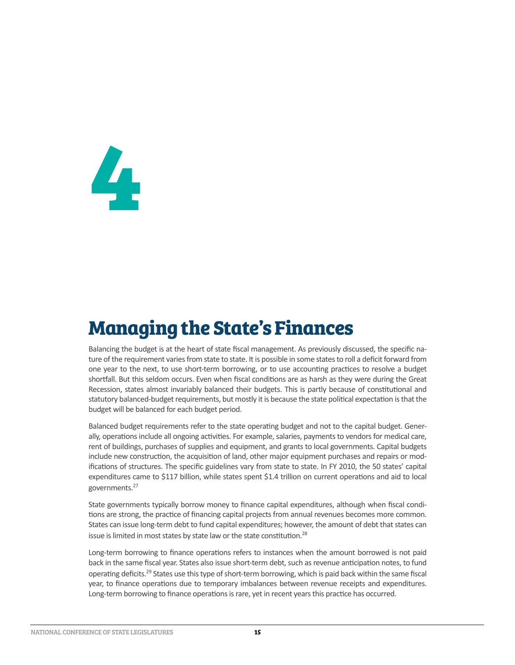# <span id="page-17-0"></span>**4**

## **Managing the State's Finances**

Balancing the budget is at the heart of state fiscal management. As previously discussed, the specific nature of the requirement varies from state to state. It is possible in some states to roll a deficit forward from one year to the next, to use short-term borrowing, or to use accounting practices to resolve a budget shortfall. But this seldom occurs. Even when fiscal conditions are as harsh as they were during the Great Recession, states almost invariably balanced their budgets. This is partly because of constitutional and statutory balanced-budget requirements, but mostly it is because the state political expectation is that the budget will be balanced for each budget period.

Balanced budget requirements refer to the state operating budget and not to the capital budget. Generally, operations include all ongoing activities. For example, salaries, payments to vendors for medical care, rent of buildings, purchases of supplies and equipment, and grants to local governments. Capital budgets include new construction, the acquisition of land, other major equipment purchases and repairs or modifications of structures. The specific guidelines vary from state to state. In FY 2010, the 50 states' capital expenditures came to \$117 billion, while states spent \$1.4 trillion on current operations and aid to local governments.27

State governments typically borrow money to finance capital expenditures, although when fiscal conditions are strong, the practice of financing capital projects from annual revenues becomes more common. States can issue long-term debt to fund capital expenditures; however, the amount of debt that states can issue is limited in most states by state law or the state constitution.<sup>28</sup>

Long-term borrowing to finance operations refers to instances when the amount borrowed is not paid back in the same fiscal year. States also issue short-term debt, such as revenue anticipation notes, to fund operating deficits.29 States use this type of short-term borrowing, which is paid back within the same fiscal year, to finance operations due to temporary imbalances between revenue receipts and expenditures. Long-term borrowing to finance operations is rare, yet in recent years this practice has occurred.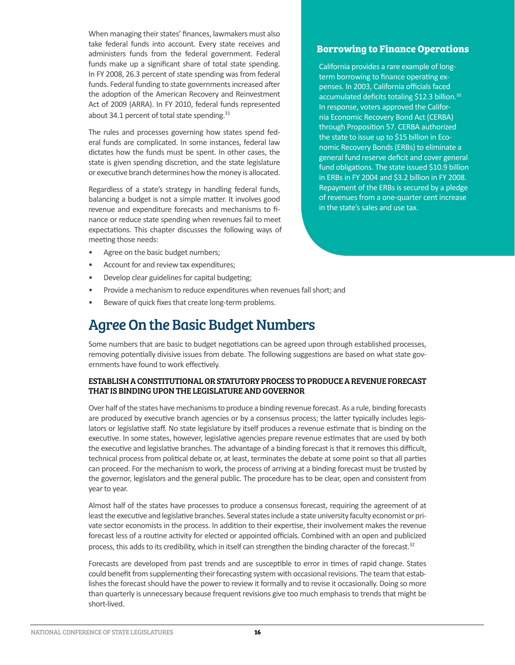<span id="page-18-0"></span>When managing their states' finances, lawmakers must also take federal funds into account. Every state receives and administers funds from the federal government. Federal funds make up a significant share of total state spending. In FY 2008, 26.3 percent of state spending was from federal funds. Federal funding to state governments increased after the adoption of the American Recovery and Reinvestment Act of 2009 (ARRA). In FY 2010, federal funds represented about 34.1 percent of total state spending.<sup>31</sup>

The rules and processes governing how states spend federal funds are complicated. In some instances, federal law dictates how the funds must be spent. In other cases, the state is given spending discretion, and the state legislature or executive branch determines how the money is allocated.

Regardless of a state's strategy in handling federal funds, balancing a budget is not a simple matter. It involves good revenue and expenditure forecasts and mechanisms to finance or reduce state spending when revenues fail to meet expectations. This chapter discusses the following ways of meeting those needs:

- Agree on the basic budget numbers;
- Account for and review tax expenditures;
- Develop clear guidelines for capital budgeting;
- Provide a mechanism to reduce expenditures when revenues fall short; and
- Beware of quick fixes that create long-term problems.

### Agree On the Basic Budget Numbers

Some numbers that are basic to budget negotiations can be agreed upon through established processes, removing potentially divisive issues from debate. The following suggestions are based on what state governments have found to work effectively.

#### ESTABLISH A CONSTITUTIONAL OR STATUTORY PROCESS TO PRODUCE A REVENUE FORECAST THAT IS BINDING UPON THE LEGISLATURE AND GOVERNOR

Over half of the states have mechanisms to produce a binding revenue forecast. As a rule, binding forecasts are produced by executive branch agencies or by a consensus process; the latter typically includes legislators or legislative staff. No state legislature by itself produces a revenue estimate that is binding on the executive. In some states, however, legislative agencies prepare revenue estimates that are used by both the executive and legislative branches. The advantage of a binding forecast is that it removes this difficult, technical process from political debate or, at least, terminates the debate at some point so that all parties can proceed. For the mechanism to work, the process of arriving at a binding forecast must be trusted by the governor, legislators and the general public. The procedure has to be clear, open and consistent from year to year.

Almost half of the states have processes to produce a consensus forecast, requiring the agreement of at least the executive and legislative branches. Several states include a state university faculty economist or private sector economists in the process. In addition to their expertise, their involvement makes the revenue forecast less of a routine activity for elected or appointed officials. Combined with an open and publicized process, this adds to its credibility, which in itself can strengthen the binding character of the forecast.<sup>32</sup>

Forecasts are developed from past trends and are susceptible to error in times of rapid change. States could benefit from supplementing their forecasting system with occasional revisions. The team that establishes the forecast should have the power to review it formally and to revise it occasionally. Doing so more than quarterly is unnecessary because frequent revisions give too much emphasis to trends that might be short-lived.

#### **Borrowing to Finance Operations**

California provides a rare example of longterm borrowing to finance operating expenses. In 2003, California officials faced accumulated deficits totaling \$12.3 billion.<sup>30</sup> In response, voters approved the California Economic Recovery Bond Act (CERBA) through Proposition 57. CERBA authorized the state to issue up to \$15 billion in Economic Recovery Bonds (ERBs) to eliminate a general fund reserve deficit and cover general fund obligations. The state issued \$10.9 billion in ERBs in FY 2004 and \$3.2 billion in FY 2008. Repayment of the ERBs is secured by a pledge of revenues from a one-quarter cent increase in the state's sales and use tax.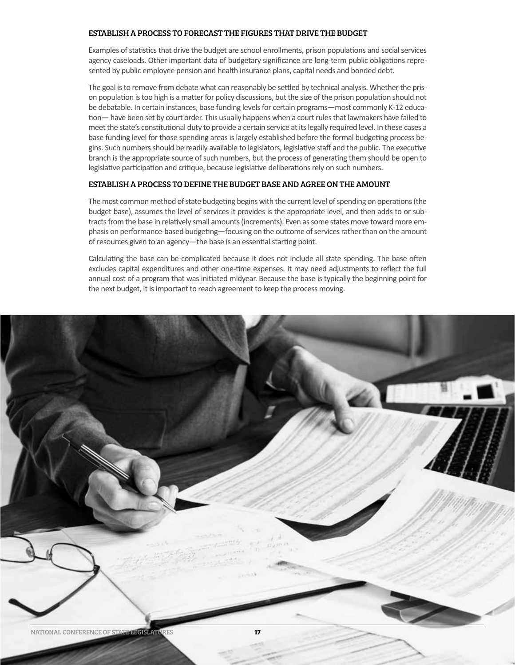#### <span id="page-19-0"></span>ESTABLISH A PROCESS TO FORECAST THE FIGURES THAT DRIVE THE BUDGET

Examples of statistics that drive the budget are school enrollments, prison populations and social services agency caseloads. Other important data of budgetary significance are long-term public obligations represented by public employee pension and health insurance plans, capital needs and bonded debt.

The goal is to remove from debate what can reasonably be settled by technical analysis. Whether the prison population is too high is a matter for policy discussions, but the size of the prison population should not be debatable. In certain instances, base funding levels for certain programs—most commonly K-12 education— have been set by court order. This usually happens when a court rules that lawmakers have failed to meet the state's constitutional duty to provide a certain service at its legally required level. In these cases a base funding level for those spending areas is largely established before the formal budgeting process begins. Such numbers should be readily available to legislators, legislative staff and the public. The executive branch is the appropriate source of such numbers, but the process of generating them should be open to legislative participation and critique, because legislative deliberations rely on such numbers.

#### ESTABLISH A PROCESS TO DEFINE THE BUDGET BASE AND AGREE ON THE AMOUNT

The most common method of state budgeting begins with the current level of spending on operations (the budget base), assumes the level of services it provides is the appropriate level, and then adds to or subtracts from the base in relatively small amounts (increments). Even as some states move toward more emphasis on performance-based budgeting—focusing on the outcome of services rather than on the amount of resources given to an agency—the base is an essential starting point.

Calculating the base can be complicated because it does not include all state spending. The base often excludes capital expenditures and other one-time expenses. It may need adjustments to reflect the full annual cost of a program that was initiated midyear. Because the base is typically the beginning point for the next budget, it is important to reach agreement to keep the process moving.

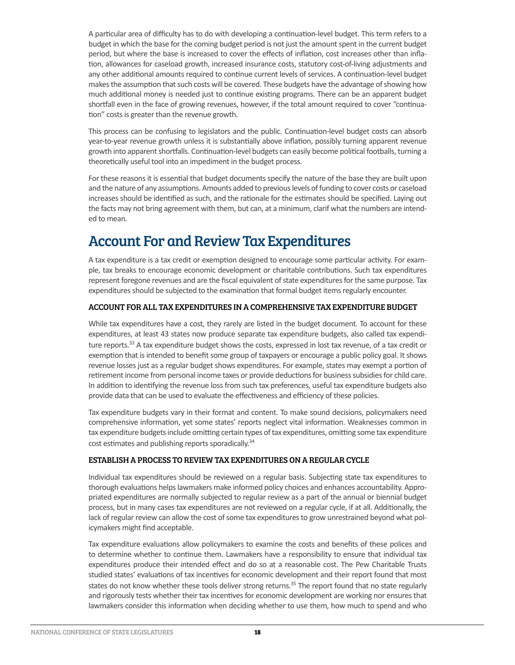<span id="page-20-0"></span>A particular area of difficulty has to do with developing a continuation-level budget. This term refers to a budget in which the base for the coming budget period is not just the amount spent in the current budget period, but where the base is increased to cover the effects of inflation, cost increases other than inflation, allowances for caseload growth, increased insurance costs, statutory cost-of-living adjustments and any other additional amounts required to continue current levels of services. A continuation-level budget makes the assumption that such costs will be covered. These budgets have the advantage of showing how much additional money is needed just to continue existing programs. There can be an apparent budget shortfall even in the face of growing revenues, however, if the total amount required to cover "continuation" costs is greater than the revenue growth.

This process can be confusing to legislators and the public. Continuation-level budget costs can absorb year-to-year revenue growth unless it is substantially above inflation, possibly turning apparent revenue growth into apparent shortfalls. Continuation-level budgets can easily become political footballs, turning a theoretically useful tool into an impediment in the budget process.

For these reasons it is essential that budget documents specify the nature of the base they are built upon and the nature of any assumptions. Amounts added to previous levels of funding to cover costs or caseload increases should be identified as such, and the rationale for the estimates should be specified. Laying out the facts may not bring agreement with them, but can, at a minimum, clarif what the numbers are intended to mean.

## Account For and Review Tax Expenditures

A tax expenditure is a tax credit or exemption designed to encourage some particular activity. For example, tax breaks to encourage economic development or charitable contributions. Such tax expenditures represent foregone revenues and are the fiscal equivalent of state expenditures for the same purpose. Tax expenditures should be subjected to the examination that formal budget items regularly encounter.

#### ACCOUNT FOR ALL TAX EXPENDITURES IN A COMPREHENSIVE TAX EXPENDITURE BUDGET

While tax expenditures have a cost, they rarely are listed in the budget document. To account for these expenditures, at least 43 states now produce separate tax expenditure budgets, also called tax expenditure reports.<sup>33</sup> A tax expenditure budget shows the costs, expressed in lost tax revenue, of a tax credit or exemption that is intended to benefit some group of taxpayers or encourage a public policy goal. It shows revenue losses just as a regular budget shows expenditures. For example, states may exempt a portion of retirement income from personal income taxes or provide deductions for business subsidies for child care. In addition to identifying the revenue loss from such tax preferences, useful tax expenditure budgets also provide data that can be used to evaluate the effectiveness and efficiency of these policies.

Tax expenditure budgets vary in their format and content. To make sound decisions, policymakers need comprehensive information, yet some states' reports neglect vital information. Weaknesses common in tax expenditure budgets include omitting certain types of tax expenditures, omitting some tax expenditure cost estimates and publishing reports sporadically.<sup>34</sup>

#### ESTABLISH A PROCESS TO REVIEW TAX EXPENDITURES ON A REGULAR CYCLE

Individual tax expenditures should be reviewed on a regular basis. Subjecting state tax expenditures to thorough evaluations helps lawmakers make informed policy choices and enhances accountability. Appropriated expenditures are normally subjected to regular review as a part of the annual or biennial budget process, but in many cases tax expenditures are not reviewed on a regular cycle, if at all. Additionally, the lack of regular review can allow the cost of some tax expenditures to grow unrestrained beyond what policymakers might find acceptable.

Tax expenditure evaluations allow policymakers to examine the costs and benefits of these polices and to determine whether to continue them. Lawmakers have a responsibility to ensure that individual tax expenditures produce their intended effect and do so at a reasonable cost. The Pew Charitable Trusts studied states' evaluations of tax incentives for economic development and their report found that most states do not know whether these tools deliver strong returns.<sup>35</sup> The report found that no state regularly and rigorously tests whether their tax incentives for economic development are working nor ensures that lawmakers consider this information when deciding whether to use them, how much to spend and who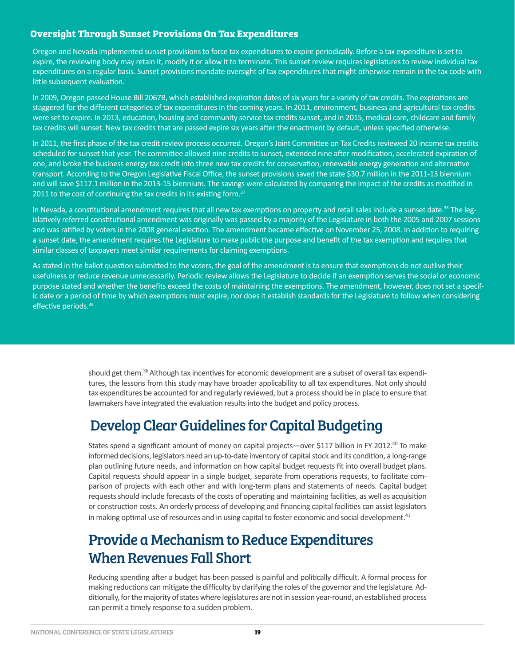#### <span id="page-21-0"></span>**Oversight Through Sunset Provisions On Tax Expenditures**

Oregon and Nevada implemented sunset provisions to force tax expenditures to expire periodically. Before a tax expenditure is set to expire, the reviewing body may retain it, modify it or allow it to terminate. This sunset review requires legislatures to review individual tax expenditures on a regular basis. Sunset provisions mandate oversight of tax expenditures that might otherwise remain in the tax code with little subsequent evaluation.

In 2009, Oregon passed House Bill 2067B, which established expiration dates of six years for a variety of tax credits. The expirations are staggered for the different categories of tax expenditures in the coming years. In 2011, environment, business and agricultural tax credits were set to expire. In 2013, education, housing and community service tax credits sunset, and in 2015, medical care, childcare and family tax credits will sunset. New tax credits that are passed expire six years after the enactment by default, unless specified otherwise.

In 2011, the first phase of the tax credit review process occurred. Oregon's Joint Committee on Tax Credits reviewed 20 income tax credits scheduled for sunset that year. The committee allowed nine credits to sunset, extended nine after modification, accelerated expiration of one, and broke the business energy tax credit into three new tax credits for conservation, renewable energy generation and alternative transport. According to the Oregon Legislative Fiscal Office, the sunset provisions saved the state \$30.7 million in the 2011-13 biennium and will save \$117.1 million in the 2013-15 biennium. The savings were calculated by comparing the impact of the credits as modified in 2011 to the cost of continuing the tax credits in its existing form.<sup>37</sup>

In Nevada, a constitutional amendment requires that all new tax exemptions on property and retail sales include a sunset date.<sup>38</sup> The legislatively referred constitutional amendment was originally was passed by a majority of the Legislature in both the 2005 and 2007 sessions and was ratified by voters in the 2008 general election. The amendment became effective on November 25, 2008. In addition to requiring a sunset date, the amendment requires the Legislature to make public the purpose and benefit of the tax exemption and requires that similar classes of taxpayers meet similar requirements for claiming exemptions.

As stated in the ballot question submitted to the voters, the goal of the amendment is to ensure that exemptions do not outlive their usefulness or reduce revenue unnecessarily. Periodic review allows the Legislature to decide if an exemption serves the social or economic purpose stated and whether the benefits exceed the costs of maintaining the exemptions. The amendment, however, does not set a specific date or a period of time by which exemptions must expire, nor does it establish standards for the Legislature to follow when considering effective periods.<sup>39</sup>

> should get them.<sup>36</sup> Although tax incentives for economic development are a subset of overall tax expenditures, the lessons from this study may have broader applicability to all tax expenditures. Not only should tax expenditures be accounted for and regularly reviewed, but a process should be in place to ensure that lawmakers have integrated the evaluation results into the budget and policy process.

## Develop Clear Guidelines for Capital Budgeting

States spend a significant amount of money on capital projects—over \$117 billion in FY 2012.<sup>40</sup> To make informed decisions, legislators need an up-to-date inventory of capital stock and its condition, a long-range plan outlining future needs, and information on how capital budget requests fit into overall budget plans. Capital requests should appear in a single budget, separate from operations requests, to facilitate comparison of projects with each other and with long-term plans and statements of needs. Capital budget requests should include forecasts of the costs of operating and maintaining facilities, as well as acquisition or construction costs. An orderly process of developing and financing capital facilities can assist legislators in making optimal use of resources and in using capital to foster economic and social development.<sup>41</sup>

## Provide a Mechanism to Reduce Expenditures When Revenues Fall Short

Reducing spending after a budget has been passed is painful and politically difficult. A formal process for making reductions can mitigate the difficulty by clarifying the roles of the governor and the legislature. Additionally, for the majority of states where legislatures are not in session year-round, an established process can permit a timely response to a sudden problem.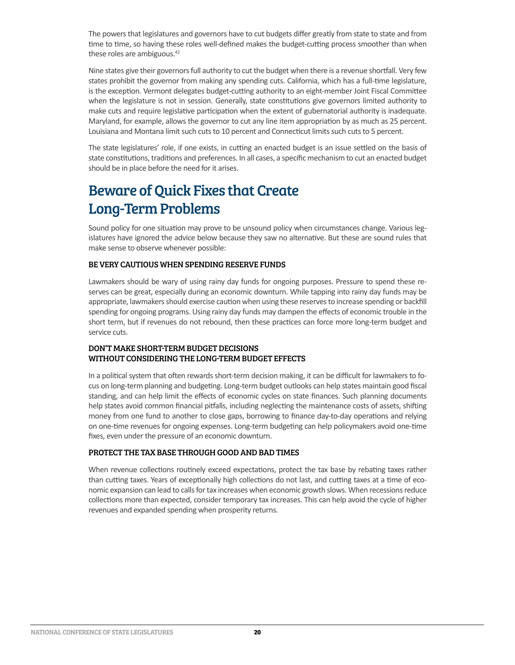<span id="page-22-0"></span>The powers that legislatures and governors have to cut budgets differ greatly from state to state and from time to time, so having these roles well-defined makes the budget-cutting process smoother than when these roles are ambiguous.<sup>42</sup>

Nine states give their governors full authority to cut the budget when there is a revenue shortfall. Very few states prohibit the governor from making any spending cuts. California, which has a full-time legislature, is the exception. Vermont delegates budget-cutting authority to an eight-member Joint Fiscal Committee when the legislature is not in session. Generally, state constitutions give governors limited authority to make cuts and require legislative participation when the extent of gubernatorial authority is inadequate. Maryland, for example, allows the governor to cut any line item appropriation by as much as 25 percent. Louisiana and Montana limit such cuts to 10 percent and Connecticut limits such cuts to 5 percent.

The state legislatures' role, if one exists, in cutting an enacted budget is an issue settled on the basis of state constitutions, traditions and preferences. In all cases, a specific mechanism to cut an enacted budget should be in place before the need for it arises.

## Beware of Quick Fixes that Create Long-Term Problems

Sound policy for one situation may prove to be unsound policy when circumstances change. Various legislatures have ignored the advice below because they saw no alternative. But these are sound rules that make sense to observe whenever possible:

#### BE VERY CAUTIOUS WHEN SPENDING RESERVE FUNDS

Lawmakers should be wary of using rainy day funds for ongoing purposes. Pressure to spend these reserves can be great, especially during an economic downturn. While tapping into rainy day funds may be appropriate, lawmakers should exercise caution when using these reserves to increase spending or backfill spending for ongoing programs. Using rainy day funds may dampen the effects of economic trouble in the short term, but if revenues do not rebound, then these practices can force more long-term budget and service cuts.

#### DON'T MAKE SHORT-TERM BUDGET DECISIONS WITHOUT CONSIDERING THE LONG-TERM BUDGET EFFECTS

In a political system that often rewards short-term decision making, it can be difficult for lawmakers to focus on long-term planning and budgeting. Long-term budget outlooks can help states maintain good fiscal standing, and can help limit the effects of economic cycles on state finances. Such planning documents help states avoid common financial pitfalls, including neglecting the maintenance costs of assets, shifting money from one fund to another to close gaps, borrowing to finance day-to-day operations and relying on one-time revenues for ongoing expenses. Long-term budgeting can help policymakers avoid one-time fixes, even under the pressure of an economic downturn.

#### PROTECT THE TAX BASE THROUGH GOOD AND BAD TIMES

When revenue collections routinely exceed expectations, protect the tax base by rebating taxes rather than cutting taxes. Years of exceptionally high collections do not last, and cutting taxes at a time of economic expansion can lead to calls for tax increases when economic growth slows. When recessions reduce collections more than expected, consider temporary tax increases. This can help avoid the cycle of higher revenues and expanded spending when prosperity returns.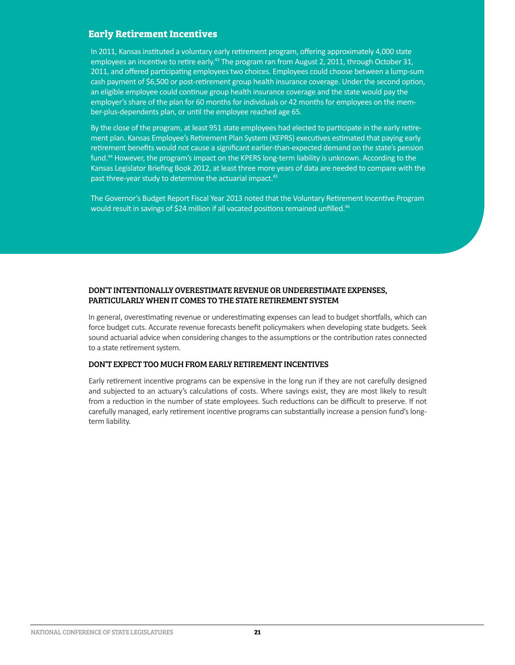#### <span id="page-23-0"></span>**Early Retirement Incentives**

In 2011, Kansas instituted a voluntary early retirement program, offering approximately 4,000 state employees an incentive to retire early.<sup>43</sup> The program ran from August 2, 2011, through October 31, 2011, and offered participating employees two choices. Employees could choose between a lump-sum cash payment of \$6,500 or post-retirement group health insurance coverage. Under the second option, an eligible employee could continue group health insurance coverage and the state would pay the employer's share of the plan for 60 months for individuals or 42 months for employees on the member-plus-dependents plan, or until the employee reached age 65.

By the close of the program, at least 951 state employees had elected to participate in the early retirement plan. Kansas Employee's Retirement Plan System (KEPRS) executives estimated that paying early retirement benefits would not cause a significant earlier-than-expected demand on the state's pension fund.44 However, the program's impact on the KPERS long-term liability is unknown. According to the Kansas Legislator Briefing Book 2012, at least three more years of data are needed to compare with the past three-year study to determine the actuarial impact.<sup>45</sup>

The Governor's Budget Report Fiscal Year 2013 noted that the Voluntary Retirement Incentive Program would result in savings of \$24 million if all vacated positions remained unfilled.<sup>46</sup>

#### DON'T INTENTIONALLY OVERESTIMATE REVENUE OR UNDERESTIMATE EXPENSES, PARTICULARLY WHEN IT COMES TO THE STATE RETIREMENT SYSTEM

In general, overestimating revenue or underestimating expenses can lead to budget shortfalls, which can force budget cuts. Accurate revenue forecasts benefit policymakers when developing state budgets. Seek sound actuarial advice when considering changes to the assumptions or the contribution rates connected to a state retirement system.

#### DON'T EXPECT TOO MUCH FROM EARLY RETIREMENT INCENTIVES

Early retirement incentive programs can be expensive in the long run if they are not carefully designed and subjected to an actuary's calculations of costs. Where savings exist, they are most likely to result from a reduction in the number of state employees. Such reductions can be difficult to preserve. If not carefully managed, early retirement incentive programs can substantially increase a pension fund's longterm liability.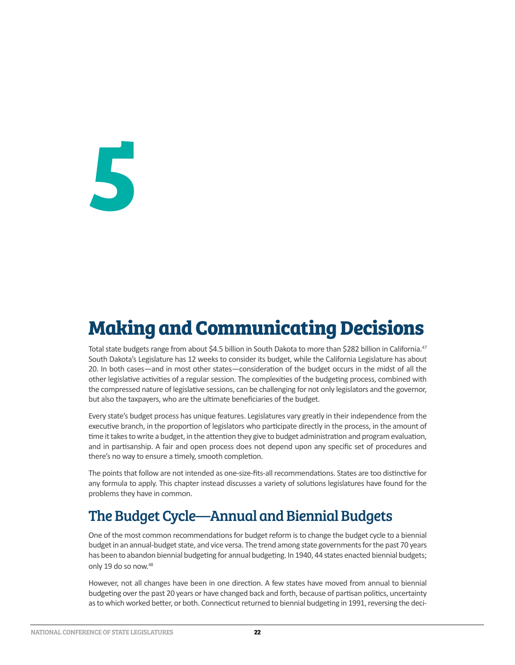<span id="page-24-0"></span>**5**

## **Making and Communicating Decisions**

Total state budgets range from about \$4.5 billion in South Dakota to more than \$282 billion in California.<sup>47</sup> South Dakota's Legislature has 12 weeks to consider its budget, while the California Legislature has about 20. In both cases—and in most other states—consideration of the budget occurs in the midst of all the other legislative activities of a regular session. The complexities of the budgeting process, combined with the compressed nature of legislative sessions, can be challenging for not only legislators and the governor, but also the taxpayers, who are the ultimate beneficiaries of the budget.

Every state's budget process has unique features. Legislatures vary greatly in their independence from the executive branch, in the proportion of legislators who participate directly in the process, in the amount of time it takes to write a budget, in the attention they give to budget administration and program evaluation, and in partisanship. A fair and open process does not depend upon any specific set of procedures and there's no way to ensure a timely, smooth completion.

The points that follow are not intended as one-size-fits-all recommendations. States are too distinctive for any formula to apply. This chapter instead discusses a variety of solutions legislatures have found for the problems they have in common.

## The Budget Cycle—Annual and Biennial Budgets

One of the most common recommendations for budget reform is to change the budget cycle to a biennial budget in an annual-budget state, and vice versa. The trend among state governments for the past 70 years has been to abandon biennial budgeting for annual budgeting. In 1940, 44 states enacted biennial budgets; only 19 do so now.48

However, not all changes have been in one direction. A few states have moved from annual to biennial budgeting over the past 20 years or have changed back and forth, because of partisan politics, uncertainty as to which worked better, or both. Connecticut returned to biennial budgeting in 1991, reversing the deci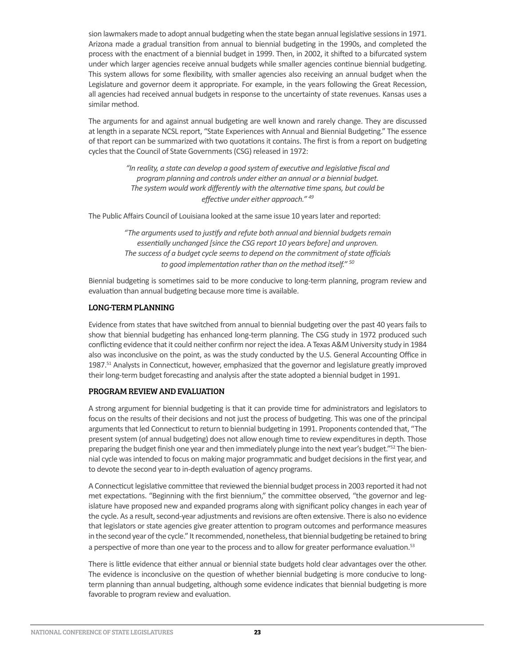<span id="page-25-0"></span>sion lawmakers made to adopt annual budgeting when the state began annual legislative sessions in 1971. Arizona made a gradual transition from annual to biennial budgeting in the 1990s, and completed the process with the enactment of a biennial budget in 1999. Then, in 2002, it shifted to a bifurcated system under which larger agencies receive annual budgets while smaller agencies continue biennial budgeting. This system allows for some flexibility, with smaller agencies also receiving an annual budget when the Legislature and governor deem it appropriate. For example, in the years following the Great Recession, all agencies had received annual budgets in response to the uncertainty of state revenues. Kansas uses a similar method.

The arguments for and against annual budgeting are well known and rarely change. They are discussed at length in a separate NCSL report, "State Experiences with Annual and Biennial Budgeting." The essence of that report can be summarized with two quotations it contains. The first is from a report on budgeting cycles that the Council of State Governments (CSG) released in 1972:

> *"In reality, a state can develop a good system of executive and legislative fiscal and program planning and controls under either an annual or a biennial budget. The system would work differently with the alternative time spans, but could be effective under either approach." <sup>49</sup>*

The Public Affairs Council of Louisiana looked at the same issue 10 years later and reported:

*"The arguments used to justify and refute both annual and biennial budgets remain essentially unchanged [since the CSG report 10 years before] and unproven. The success of a budget cycle seems to depend on the commitment of state officials to good implementation rather than on the method itself." 50*

Biennial budgeting is sometimes said to be more conducive to long-term planning, program review and evaluation than annual budgeting because more time is available.

#### LONG-TERM PLANNING

Evidence from states that have switched from annual to biennial budgeting over the past 40 years fails to show that biennial budgeting has enhanced long-term planning. The CSG study in 1972 produced such conflicting evidence that it could neither confirm nor reject the idea. A Texas A&M University study in 1984 also was inconclusive on the point, as was the study conducted by the U.S. General Accounting Office in 1987.51 Analysts in Connecticut, however, emphasized that the governor and legislature greatly improved their long-term budget forecasting and analysis after the state adopted a biennial budget in 1991.

#### PROGRAM REVIEW AND EVALUATION

A strong argument for biennial budgeting is that it can provide time for administrators and legislators to focus on the results of their decisions and not just the process of budgeting. This was one of the principal arguments that led Connecticut to return to biennial budgeting in 1991. Proponents contended that, "The present system (of annual budgeting) does not allow enough time to review expenditures in depth. Those preparing the budget finish one year and then immediately plunge into the next year's budget."52 The biennial cycle was intended to focus on making major programmatic and budget decisions in the first year, and to devote the second year to in-depth evaluation of agency programs.

A Connecticut legislative committee that reviewed the biennial budget process in 2003 reported it had not met expectations. "Beginning with the first biennium," the committee observed, "the governor and legislature have proposed new and expanded programs along with significant policy changes in each year of the cycle. As a result, second-year adjustments and revisions are often extensive. There is also no evidence that legislators or state agencies give greater attention to program outcomes and performance measures in the second year of the cycle." It recommended, nonetheless, that biennial budgeting be retained to bring a perspective of more than one year to the process and to allow for greater performance evaluation.<sup>53</sup>

There is little evidence that either annual or biennial state budgets hold clear advantages over the other. The evidence is inconclusive on the question of whether biennial budgeting is more conducive to longterm planning than annual budgeting, although some evidence indicates that biennial budgeting is more favorable to program review and evaluation.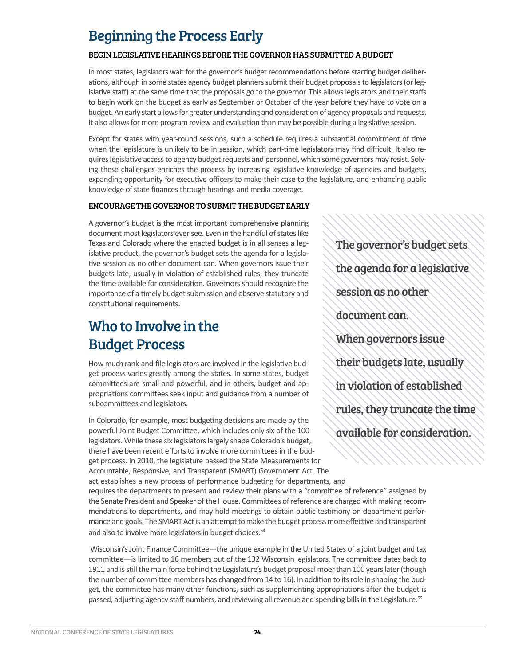## <span id="page-26-0"></span>Beginning the Process Early

#### BEGIN LEGISLATIVE HEARINGS BEFORE THE GOVERNOR HAS SUBMITTED A BUDGET

In most states, legislators wait for the governor's budget recommendations before starting budget deliberations, although in some states agency budget planners submit their budget proposals to legislators (or legislative staff) at the same time that the proposals go to the governor. This allows legislators and their staffs to begin work on the budget as early as September or October of the year before they have to vote on a budget. An early start allows for greater understanding and consideration of agency proposals and requests. It also allows for more program review and evaluation than may be possible during a legislative session.

Except for states with year-round sessions, such a schedule requires a substantial commitment of time when the legislature is unlikely to be in session, which part-time legislators may find difficult. It also requires legislative access to agency budget requests and personnel, which some governors may resist. Solving these challenges enriches the process by increasing legislative knowledge of agencies and budgets, expanding opportunity for executive officers to make their case to the legislature, and enhancing public knowledge of state finances through hearings and media coverage.

#### ENCOURAGE THE GOVERNOR TO SUBMIT THE BUDGET EARLY

A governor's budget is the most important comprehensive planning document most legislators ever see. Even in the handful of states like Texas and Colorado where the enacted budget is in all senses a legislative product, the governor's budget sets the agenda for a legislative session as no other document can. When governors issue their budgets late, usually in violation of established rules, they truncate the time available for consideration. Governors should recognize the importance of a timely budget submission and observe statutory and constitutional requirements.

## Who to Involve in the Budget Process

How much rank-and-file legislators are involved in the legislative budget process varies greatly among the states. In some states, budget committees are small and powerful, and in others, budget and appropriations committees seek input and guidance from a number of subcommittees and legislators.

and also to involve more legislators in budget choices.<sup>54</sup>

In Colorado, for example, most budgeting decisions are made by the powerful Joint Budget Committee, which includes only six of the 100 legislators. While these six legislators largely shape Colorado's budget, there have been recent efforts to involve more committees in the budget process. In 2010, the legislature passed the State Measurements for Accountable, Responsive, and Transparent (SMART) Government Act. The act establishes a new process of performance budgeting for departments, and requires the departments to present and review their plans with a "committee of reference" assigned by the Senate President and Speaker of the House. Committees of reference are charged with making recommendations to departments, and may hold meetings to obtain public testimony on department perfor-

 Wisconsin's Joint Finance Committee—the unique example in the United States of a joint budget and tax committee—is limited to 16 members out of the 132 Wisconsin legislators. The committee dates back to 1911 and is still the main force behind the Legislature's budget proposal moer than 100 years later (though the number of committee members has changed from 14 to 16). In addition to its role in shaping the budget, the committee has many other functions, such as supplementing appropriations after the budget is passed, adjusting agency staff numbers, and reviewing all revenue and spending bills in the Legislature.<sup>55</sup>

mance and goals. The SMART Act is an attempt to make the budget process more effective and transparent

The governor's budget sets the agenda for a legislative session as no other document can. When governors issue their budgets late, usually in violation of established rules, they truncate the time available for consideration.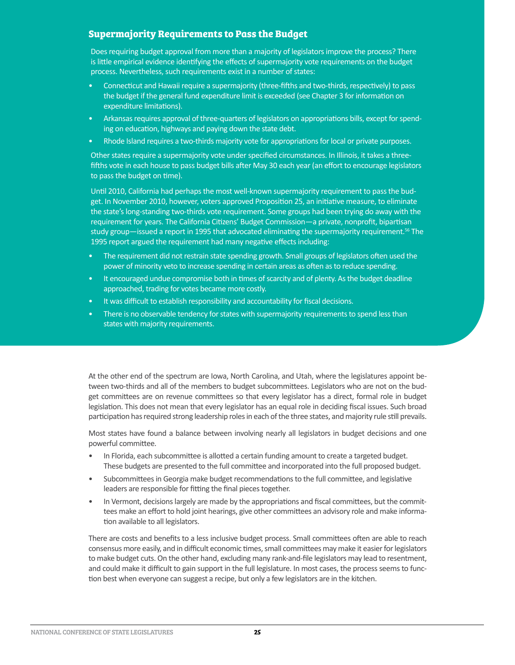#### **Supermajority Requirements to Pass the Budget**

Does requiring budget approval from more than a majority of legislators improve the process? There is little empirical evidence identifying the effects of supermajority vote requirements on the budget process. Nevertheless, such requirements exist in a number of states:

- Connecticut and Hawaii require a supermajority (three-fifths and two-thirds, respectively) to pass the budget if the general fund expenditure limit is exceeded (see Chapter 3 for information on expenditure limitations).
- Arkansas requires approval of three-quarters of legislators on appropriations bills, except for spending on education, highways and paying down the state debt.
- Rhode Island requires a two-thirds majority vote for appropriations for local or private purposes.

Other states require a supermajority vote under specified circumstances. In Illinois, it takes a threefifths vote in each house to pass budget bills after May 30 each year (an effort to encourage legislators to pass the budget on time).

Until 2010, California had perhaps the most well-known supermajority requirement to pass the budget. In November 2010, however, voters approved Proposition 25, an initiative measure, to eliminate the state's long-standing two-thirds vote requirement. Some groups had been trying do away with the requirement for years. The California Citizens' Budget Commission—a private, nonprofit, bipartisan study group—issued a report in 1995 that advocated eliminating the supermajority requirement.<sup>56</sup> The 1995 report argued the requirement had many negative effects including:

- The requirement did not restrain state spending growth. Small groups of legislators often used the power of minority veto to increase spending in certain areas as often as to reduce spending.
- It encouraged undue compromise both in times of scarcity and of plenty. As the budget deadline approached, trading for votes became more costly.
- It was difficult to establish responsibility and accountability for fiscal decisions.
- There is no observable tendency for states with supermajority requirements to spend less than states with majority requirements.

At the other end of the spectrum are Iowa, North Carolina, and Utah, where the legislatures appoint between two-thirds and all of the members to budget subcommittees. Legislators who are not on the budget committees are on revenue committees so that every legislator has a direct, formal role in budget legislation. This does not mean that every legislator has an equal role in deciding fiscal issues. Such broad participation has required strong leadership roles in each of the three states, and majority rule still prevails.

Most states have found a balance between involving nearly all legislators in budget decisions and one powerful committee.

- In Florida, each subcommittee is allotted a certain funding amount to create a targeted budget. These budgets are presented to the full committee and incorporated into the full proposed budget.
- Subcommittees in Georgia make budget recommendations to the full committee, and legislative leaders are responsible for fitting the final pieces together.
- In Vermont, decisions largely are made by the appropriations and fiscal committees, but the committees make an effort to hold joint hearings, give other committees an advisory role and make information available to all legislators.

There are costs and benefits to a less inclusive budget process. Small committees often are able to reach consensus more easily, and in difficult economic times, small committees may make it easier for legislators to make budget cuts. On the other hand, excluding many rank-and-file legislators may lead to resentment, and could make it difficult to gain support in the full legislature. In most cases, the process seems to function best when everyone can suggest a recipe, but only a few legislators are in the kitchen.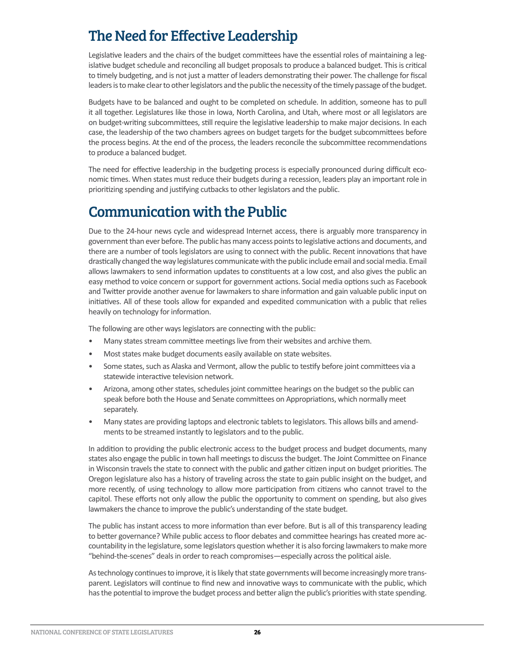## <span id="page-28-0"></span>The Need for Effective Leadership

Legislative leaders and the chairs of the budget committees have the essential roles of maintaining a legislative budget schedule and reconciling all budget proposals to produce a balanced budget. This is critical to timely budgeting, and is not just a matter of leaders demonstrating their power. The challenge for fiscal leaders is to make clear to other legislators and the public the necessity of the timely passage of the budget.

Budgets have to be balanced and ought to be completed on schedule. In addition, someone has to pull it all together. Legislatures like those in Iowa, North Carolina, and Utah, where most or all legislators are on budget-writing subcommittees, still require the legislative leadership to make major decisions. In each case, the leadership of the two chambers agrees on budget targets for the budget subcommittees before the process begins. At the end of the process, the leaders reconcile the subcommittee recommendations to produce a balanced budget.

The need for effective leadership in the budgeting process is especially pronounced during difficult economic times. When states must reduce their budgets during a recession, leaders play an important role in prioritizing spending and justifying cutbacks to other legislators and the public.

## Communication with the Public

Due to the 24-hour news cycle and widespread Internet access, there is arguably more transparency in government than ever before. The public has many access points to legislative actions and documents, and there are a number of tools legislators are using to connect with the public. Recent innovations that have drastically changed the way legislatures communicate with the public include email and social media. Email allows lawmakers to send information updates to constituents at a low cost, and also gives the public an easy method to voice concern or support for government actions. Social media options such as Facebook and Twitter provide another avenue for lawmakers to share information and gain valuable public input on initiatives. All of these tools allow for expanded and expedited communication with a public that relies heavily on technology for information.

The following are other ways legislators are connecting with the public:

- Many states stream committee meetings live from their websites and archive them.
- Most states make budget documents easily available on state websites.
- Some states, such as Alaska and Vermont, allow the public to testify before joint committees via a statewide interactive television network.
- Arizona, among other states, schedules joint committee hearings on the budget so the public can speak before both the House and Senate committees on Appropriations, which normally meet separately.
- Many states are providing laptops and electronic tablets to legislators. This allows bills and amendments to be streamed instantly to legislators and to the public.

In addition to providing the public electronic access to the budget process and budget documents, many states also engage the public in town hall meetings to discuss the budget. The Joint Committee on Finance in Wisconsin travels the state to connect with the public and gather citizen input on budget priorities. The Oregon legislature also has a history of traveling across the state to gain public insight on the budget, and more recently, of using technology to allow more participation from citizens who cannot travel to the capitol. These efforts not only allow the public the opportunity to comment on spending, but also gives lawmakers the chance to improve the public's understanding of the state budget.

The public has instant access to more information than ever before. But is all of this transparency leading to better governance? While public access to floor debates and committee hearings has created more accountability in the legislature, some legislators question whether it is also forcing lawmakers to make more "behind-the-scenes" deals in order to reach compromises—especially across the political aisle.

As technology continues to improve, it is likely that state governments will become increasingly more transparent. Legislators will continue to find new and innovative ways to communicate with the public, which has the potential to improve the budget process and better align the public's priorities with state spending.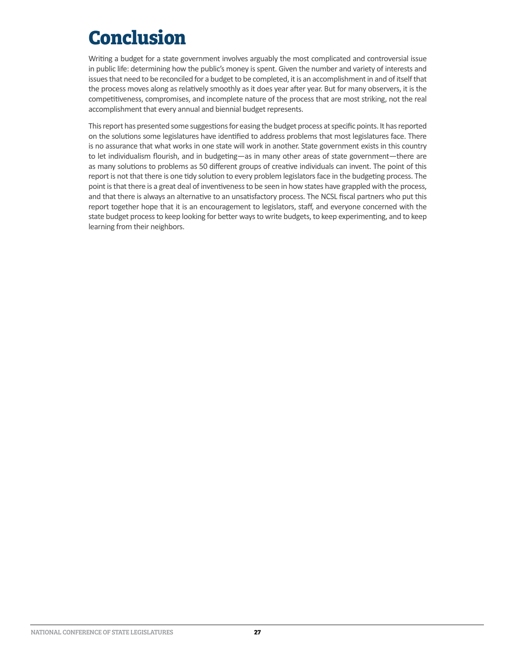## <span id="page-29-0"></span>**Conclusion**

Writing a budget for a state government involves arguably the most complicated and controversial issue in public life: determining how the public's money is spent. Given the number and variety of interests and issues that need to be reconciled for a budget to be completed, it is an accomplishment in and of itself that the process moves along as relatively smoothly as it does year after year. But for many observers, it is the competitiveness, compromises, and incomplete nature of the process that are most striking, not the real accomplishment that every annual and biennial budget represents.

This report has presented some suggestions for easing the budget process at specific points. It has reported on the solutions some legislatures have identified to address problems that most legislatures face. There is no assurance that what works in one state will work in another. State government exists in this country to let individualism flourish, and in budgeting—as in many other areas of state government—there are as many solutions to problems as 50 different groups of creative individuals can invent. The point of this report is not that there is one tidy solution to every problem legislators face in the budgeting process. The point is that there is a great deal of inventiveness to be seen in how states have grappled with the process, and that there is always an alternative to an unsatisfactory process. The NCSL fiscal partners who put this report together hope that it is an encouragement to legislators, staff, and everyone concerned with the state budget process to keep looking for better ways to write budgets, to keep experimenting, and to keep learning from their neighbors.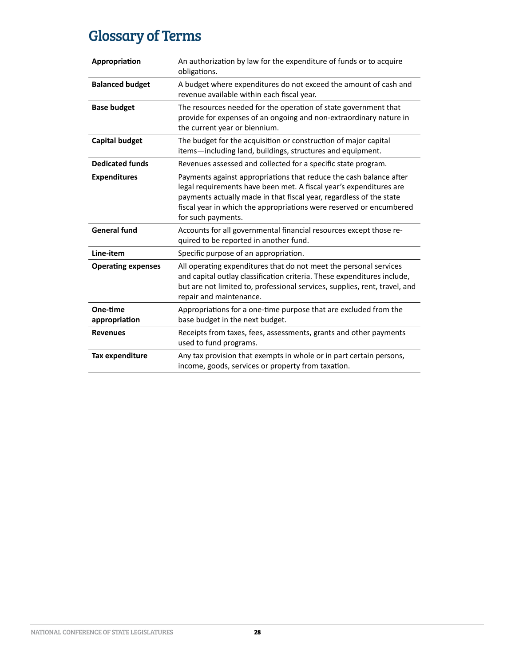## <span id="page-30-0"></span>Glossary of Terms

| Appropriation             | An authorization by law for the expenditure of funds or to acquire<br>obligations.                                                                                                                                                                                                                           |
|---------------------------|--------------------------------------------------------------------------------------------------------------------------------------------------------------------------------------------------------------------------------------------------------------------------------------------------------------|
| <b>Balanced budget</b>    | A budget where expenditures do not exceed the amount of cash and<br>revenue available within each fiscal year.                                                                                                                                                                                               |
| <b>Base budget</b>        | The resources needed for the operation of state government that<br>provide for expenses of an ongoing and non-extraordinary nature in<br>the current year or biennium.                                                                                                                                       |
| <b>Capital budget</b>     | The budget for the acquisition or construction of major capital<br>items-including land, buildings, structures and equipment.                                                                                                                                                                                |
| <b>Dedicated funds</b>    | Revenues assessed and collected for a specific state program.                                                                                                                                                                                                                                                |
| <b>Expenditures</b>       | Payments against appropriations that reduce the cash balance after<br>legal requirements have been met. A fiscal year's expenditures are<br>payments actually made in that fiscal year, regardless of the state<br>fiscal year in which the appropriations were reserved or encumbered<br>for such payments. |
| <b>General fund</b>       | Accounts for all governmental financial resources except those re-<br>quired to be reported in another fund.                                                                                                                                                                                                 |
| Line-item                 | Specific purpose of an appropriation.                                                                                                                                                                                                                                                                        |
| <b>Operating expenses</b> | All operating expenditures that do not meet the personal services<br>and capital outlay classification criteria. These expenditures include,<br>but are not limited to, professional services, supplies, rent, travel, and<br>repair and maintenance.                                                        |
| One-time<br>appropriation | Appropriations for a one-time purpose that are excluded from the<br>base budget in the next budget.                                                                                                                                                                                                          |
| <b>Revenues</b>           | Receipts from taxes, fees, assessments, grants and other payments<br>used to fund programs.                                                                                                                                                                                                                  |
| <b>Tax expenditure</b>    | Any tax provision that exempts in whole or in part certain persons,<br>income, goods, services or property from taxation.                                                                                                                                                                                    |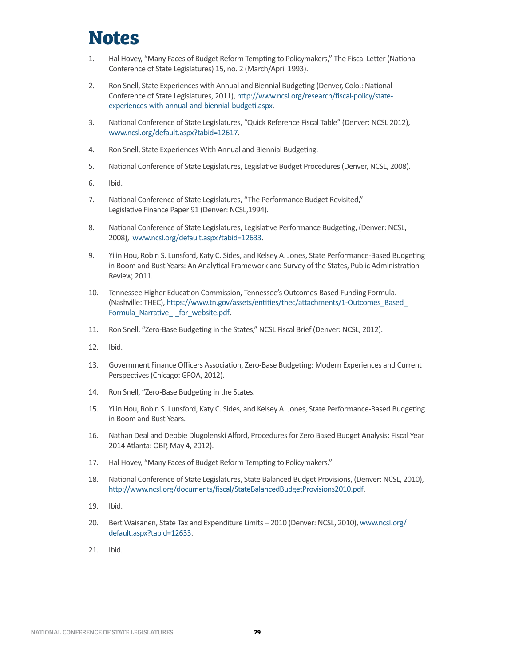## <span id="page-31-0"></span>**Notes**

- 1. Hal Hovey, "Many Faces of Budget Reform Tempting to Policymakers," The Fiscal Letter (National Conference of State Legislatures) 15, no. 2 (March/April 1993).
- 2. Ron Snell, State Experiences with Annual and Biennial Budgeting (Denver, Colo.: National Conference of State Legislatures, 2011), [http://www.ncsl.org/research/fiscal-policy/state](http://www.ncsl.org/research/fiscal-policy/state-experiences-with-annual-and-biennial-budgeti.aspx)[experiences-with-annual-and-biennial-budgeti.aspx.](http://www.ncsl.org/research/fiscal-policy/state-experiences-with-annual-and-biennial-budgeti.aspx)
- 3. National Conference of State Legislatures, "Quick Reference Fiscal Table" (Denver: NCSL 2012), www.ncsl.org/default.aspx?tabid=12617.
- 4. Ron Snell, State Experiences With Annual and Biennial Budgeting.
- 5. National Conference of State Legislatures, Legislative Budget Procedures (Denver, NCSL, 2008).
- 6. Ibid.
- 7. National Conference of State Legislatures, "The Performance Budget Revisited," Legislative Finance Paper 91 (Denver: NCSL,1994).
- 8. National Conference of State Legislatures, Legislative Performance Budgeting, (Denver: NCSL, 2008), [www.ncsl.org/default.aspx?tabid=12633](http://www.ncsl.org/default.aspx?tabid=12633).
- 9. Yilin Hou, Robin S. Lunsford, Katy C. Sides, and Kelsey A. Jones, State Performance-Based Budgeting in Boom and Bust Years: An Analytical Framework and Survey of the States, Public Administration Review, 2011.
- 10. Tennessee Higher Education Commission, Tennessee's Outcomes-Based Funding Formula. (Nashville: THEC), [https://www.tn.gov/assets/entities/thec/attachments/1-Outcomes\\_Based\\_](https://www.tn.gov/assets/entities/thec/attachments/1-Outcomes_Based_Formula_Narrative_-_for_website.pdf) [Formula\\_Narrative\\_-\\_for\\_website.pdf.](https://www.tn.gov/assets/entities/thec/attachments/1-Outcomes_Based_Formula_Narrative_-_for_website.pdf)
- 11. Ron Snell, "Zero-Base Budgeting in the States," NCSL Fiscal Brief (Denver: NCSL, 2012).
- 12. Ibid.
- 13. Government Finance Officers Association, Zero-Base Budgeting: Modern Experiences and Current Perspectives (Chicago: GFOA, 2012).
- 14. Ron Snell, "Zero-Base Budgeting in the States.
- 15. Yilin Hou, Robin S. Lunsford, Katy C. Sides, and Kelsey A. Jones, State Performance-Based Budgeting in Boom and Bust Years.
- 16. Nathan Deal and Debbie Dlugolenski Alford, Procedures for Zero Based Budget Analysis: Fiscal Year 2014 Atlanta: OBP, May 4, 2012).
- 17. Hal Hovey, "Many Faces of Budget Reform Tempting to Policymakers."
- 18. National Conference of State Legislatures, State Balanced Budget Provisions, (Denver: NCSL, 2010), <http://www.ncsl.org/documents/fiscal/StateBalancedBudgetProvisions2010.pdf>.
- 19. Ibid.
- 20. Bert Waisanen, State Tax and Expenditure Limits 2010 (Denver: NCSL, 2010), [www.ncsl.org/](http://www.ncsl.org/default.aspx?tabid=12633) [default.aspx?tabid=12633](http://www.ncsl.org/default.aspx?tabid=12633).
- 21. Ibid.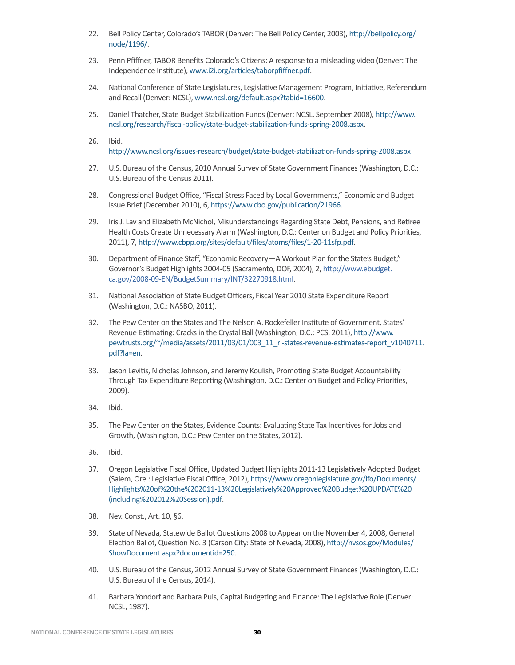- 22. Bell Policy Center, Colorado's TABOR (Denver: The Bell Policy Center, 2003), [http://bellpolicy.org/](http://www.bellpolicy.org/basic/colorados-tabor) [node/1196/](http://www.bellpolicy.org/basic/colorados-tabor).
- 23. Penn Pfiffner, TABOR Benefits Colorado's Citizens: A response to a misleading video (Denver: The Independence Institute), [www.i2i.org/articles/taborpfiffner.pdf](http://www.i2i.org/articles/taborpfiffner.pdf).
- 24. National Conference of State Legislatures, Legislative Management Program, Initiative, Referendum and Recall (Denver: NCSL), www.ncsl.org/default.aspx?tabid=16600.
- 25. Daniel Thatcher, State Budget Stabilization Funds (Denver: NCSL, September 2008), [http://www.](http://www.ncsl.org/research/fiscal-policy/state-budget-stabilization-funds-spring-2008.aspx) [ncsl.org/research/fiscal-policy/state-budget-stabilization-funds-spring-2008.aspx](http://www.ncsl.org/research/fiscal-policy/state-budget-stabilization-funds-spring-2008.aspx).
- 26. Ibid. http://www.ncsl.org/issues-research/budget/state-budget-stabilization-funds-spring-2008.aspx
- 27. U.S. Bureau of the Census, 2010 Annual Survey of State Government Finances (Washington, D.C.: U.S. Bureau of the Census 2011).
- 28. Congressional Budget Office, "Fiscal Stress Faced by Local Governments," Economic and Budget Issue Brief (December 2010), 6, [https://www.cbo.gov/publication/21966.](https://www.cbo.gov/publication/21966)
- 29. Iris J. Lav and Elizabeth McNichol, Misunderstandings Regarding State Debt, Pensions, and Retiree Health Costs Create Unnecessary Alarm (Washington, D.C.: Center on Budget and Policy Priorities, 2011), 7, [http://www.cbpp.org/sites/default/files/atoms/files/1-20-11sfp.pdf.](http://www.cbpp.org/sites/default/files/atoms/files/1-20-11sfp.pdf)
- 30. Department of Finance Staff, "Economic Recovery—A Workout Plan for the State's Budget," Governor's Budget Highlights 2004-05 (Sacramento, DOF, 2004), 2, [http://www.ebudget.](http://www.ebudget.ca.gov/2008-09-EN/BudgetSummary/INT/32270918.html) [ca.gov/2008-09-EN/BudgetSummary/INT/32270918.html.](http://www.ebudget.ca.gov/2008-09-EN/BudgetSummary/INT/32270918.html)
- 31. National Association of State Budget Officers, Fiscal Year 2010 State Expenditure Report (Washington, D.C.: NASBO, 2011).
- 32. The Pew Center on the States and The Nelson A. Rockefeller Institute of Government, States' Revenue Estimating: Cracks in the Crystal Ball (Washington, D.C.: PCS, 2011), [http://www.](http://www.pewtrusts.org/~/media/assets/2011/03/01/003_11_ri-states-revenue-estimates-report_v1040711.pdf?la=en) [pewtrusts.org/~/media/assets/2011/03/01/003\\_11\\_ri-states-revenue-estimates-report\\_v1040711.](http://www.pewtrusts.org/~/media/assets/2011/03/01/003_11_ri-states-revenue-estimates-report_v1040711.pdf?la=en) [pdf?la=en](http://www.pewtrusts.org/~/media/assets/2011/03/01/003_11_ri-states-revenue-estimates-report_v1040711.pdf?la=en).
- 33. Jason Levitis, Nicholas Johnson, and Jeremy Koulish, Promoting State Budget Accountability Through Tax Expenditure Reporting (Washington, D.C.: Center on Budget and Policy Priorities, 2009).
- 34. Ibid.
- 35. The Pew Center on the States, Evidence Counts: Evaluating State Tax Incentives for Jobs and Growth, (Washington, D.C.: Pew Center on the States, 2012).
- 36. Ibid.
- 37. Oregon Legislative Fiscal Office, Updated Budget Highlights 2011-13 Legislatively Adopted Budget (Salem, Ore.: Legislative Fiscal Office, 2012), [https://www.oregonlegislature.gov/lfo/Documents/](https://www.oregonlegislature.gov/lfo/Documents/Highlights%20of%20the%202011-13%20Legislatively%20Approved%20Budget%20UPDATE%20(including%202012%20Session).pdf) [Highlights%20of%20the%202011-13%20Legislatively%20Approved%20Budget%20UPDATE%20](https://www.oregonlegislature.gov/lfo/Documents/Highlights%20of%20the%202011-13%20Legislatively%20Approved%20Budget%20UPDATE%20(including%202012%20Session).pdf) [\(including%202012%20Session\).pdf.](https://www.oregonlegislature.gov/lfo/Documents/Highlights%20of%20the%202011-13%20Legislatively%20Approved%20Budget%20UPDATE%20(including%202012%20Session).pdf)
- 38. Nev. Const., Art. 10, §6.
- 39. State of Nevada, Statewide Ballot Questions 2008 to Appear on the November 4, 2008, General Election Ballot, Question No. 3 (Carson City: State of Nevada, 2008), [http://nvsos.gov/Modules/](http://nvsos.gov/Modules/ShowDocument.aspx?documentid=250) [ShowDocument.aspx?documentid=250.](http://nvsos.gov/Modules/ShowDocument.aspx?documentid=250)
- 40. U.S. Bureau of the Census, 2012 Annual Survey of State Government Finances (Washington, D.C.: U.S. Bureau of the Census, 2014).
- 41. Barbara Yondorf and Barbara Puls, Capital Budgeting and Finance: The Legislative Role (Denver: NCSL, 1987).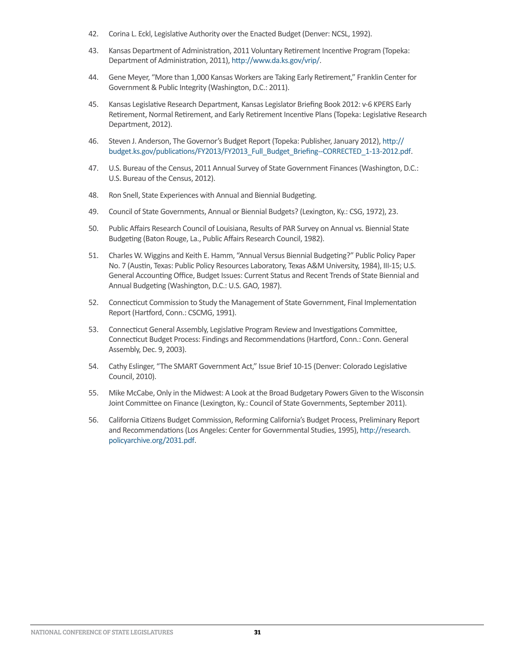- 42. Corina L. Eckl, Legislative Authority over the Enacted Budget (Denver: NCSL, 1992).
- 43. Kansas Department of Administration, 2011 Voluntary Retirement Incentive Program (Topeka: Department of Administration, 2011), [http://www.da.ks.gov/vrip/.](http://www.da.ks.gov/vrip/)
- 44. Gene Meyer, "More than 1,000 Kansas Workers are Taking Early Retirement," Franklin Center for Government & Public Integrity (Washington, D.C.: 2011).
- 45. Kansas Legislative Research Department, Kansas Legislator Briefing Book 2012: v-6 KPERS Early Retirement, Normal Retirement, and Early Retirement Incentive Plans (Topeka: Legislative Research Department, 2012).
- 46. Steven J. Anderson, The Governor's Budget Report (Topeka: Publisher, January 2012), [http://](http://budget.ks.gov/publications/FY2013/FY2013_Full_Budget_Briefing--CORRECTED_1-13-2012.pdf) [budget.ks.gov/publications/FY2013/FY2013\\_Full\\_Budget\\_Briefing--CORRECTED\\_1-13-2012.pdf.](http://budget.ks.gov/publications/FY2013/FY2013_Full_Budget_Briefing--CORRECTED_1-13-2012.pdf)
- 47. U.S. Bureau of the Census, 2011 Annual Survey of State Government Finances (Washington, D.C.: U.S. Bureau of the Census, 2012).
- 48. Ron Snell, State Experiences with Annual and Biennial Budgeting.
- 49. Council of State Governments, Annual or Biennial Budgets? (Lexington, Ky.: CSG, 1972), 23.
- 50. Public Affairs Research Council of Louisiana, Results of PAR Survey on Annual vs. Biennial State Budgeting (Baton Rouge, La., Public Affairs Research Council, 1982).
- 51. Charles W. Wiggins and Keith E. Hamm, "Annual Versus Biennial Budgeting?" Public Policy Paper No. 7 (Austin, Texas: Public Policy Resources Laboratory, Texas A&M University, 1984), III-15; U.S. General Accounting Office, Budget Issues: Current Status and Recent Trends of State Biennial and Annual Budgeting (Washington, D.C.: U.S. GAO, 1987).
- 52. Connecticut Commission to Study the Management of State Government, Final Implementation Report (Hartford, Conn.: CSCMG, 1991).
- 53. Connecticut General Assembly, Legislative Program Review and Investigations Committee, Connecticut Budget Process: Findings and Recommendations (Hartford, Conn.: Conn. General Assembly, Dec. 9, 2003).
- 54. Cathy Eslinger, "The SMART Government Act," Issue Brief 10-15 (Denver: Colorado Legislative Council, 2010).
- 55. Mike McCabe, Only in the Midwest: A Look at the Broad Budgetary Powers Given to the Wisconsin Joint Committee on Finance (Lexington, Ky.: Council of State Governments, September 2011).
- 56. California Citizens Budget Commission, Reforming California's Budget Process, Preliminary Report and Recommendations (Los Angeles: Center for Governmental Studies, 1995), [http://research.](http://research.policyarchive.org/2031.pdf) [policyarchive.org/2031.pdf](http://research.policyarchive.org/2031.pdf).